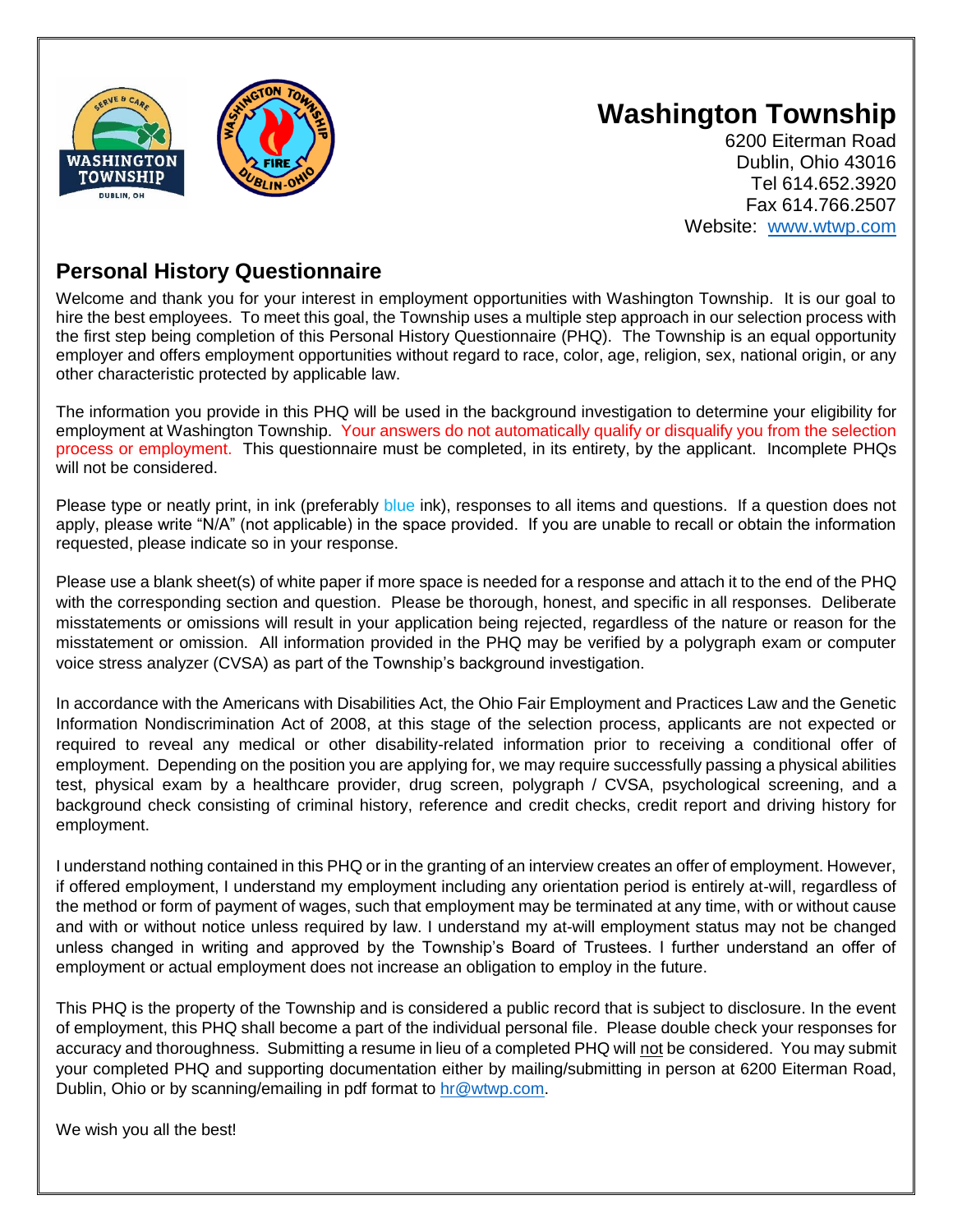

## **Washington Township**

6200 Eiterman Road Dublin, Ohio 43016 Tel 614.652.3920 Fax 614.766.2507 Website: [www.wtwp.com](http://www.wtwp.com/)

## **Personal History Questionnaire**

Welcome and thank you for your interest in employment opportunities with Washington Township. It is our goal to hire the best employees. To meet this goal, the Township uses a multiple step approach in our selection process with the first step being completion of this Personal History Questionnaire (PHQ). The Township is an equal opportunity employer and offers employment opportunities without regard to race, color, age, religion, sex, national origin, or any other characteristic protected by applicable law.

The information you provide in this PHQ will be used in the background investigation to determine your eligibility for employment at Washington Township. Your answers do not automatically qualify or disqualify you from the selection process or employment. This questionnaire must be completed, in its entirety, by the applicant. Incomplete PHQs will not be considered.

Please type or neatly print, in ink (preferably blue ink), responses to all items and questions. If a question does not apply, please write "N/A" (not applicable) in the space provided. If you are unable to recall or obtain the information requested, please indicate so in your response.

Please use a blank sheet(s) of white paper if more space is needed for a response and attach it to the end of the PHQ with the corresponding section and question. Please be thorough, honest, and specific in all responses. Deliberate misstatements or omissions will result in your application being rejected, regardless of the nature or reason for the misstatement or omission. All information provided in the PHQ may be verified by a polygraph exam or computer voice stress analyzer (CVSA) as part of the Township's background investigation.

In accordance with the Americans with Disabilities Act, the Ohio Fair Employment and Practices Law and the Genetic Information Nondiscrimination Act of 2008, at this stage of the selection process, applicants are not expected or required to reveal any medical or other disability-related information prior to receiving a conditional offer of employment. Depending on the position you are applying for, we may require successfully passing a physical abilities test, physical exam by a healthcare provider, drug screen, polygraph / CVSA, psychological screening, and a background check consisting of criminal history, reference and credit checks, credit report and driving history for employment.

I understand nothing contained in this PHQ or in the granting of an interview creates an offer of employment. However, if offered employment, I understand my employment including any orientation period is entirely at-will, regardless of the method or form of payment of wages, such that employment may be terminated at any time, with or without cause and with or without notice unless required by law. I understand my at-will employment status may not be changed unless changed in writing and approved by the Township's Board of Trustees. I further understand an offer of employment or actual employment does not increase an obligation to employ in the future.

This PHQ is the property of the Township and is considered a public record that is subject to disclosure. In the event of employment, this PHQ shall become a part of the individual personal file. Please double check your responses for accuracy and thoroughness. Submitting a resume in lieu of a completed PHQ will not be considered. You may submit your completed PHQ and supporting documentation either by mailing/submitting in person at 6200 Eiterman Road, Dublin, Ohio or by scanning/emailing in pdf format to [hr@wtwp.com.](mailto:hr@wtwp.com)

We wish you all the best!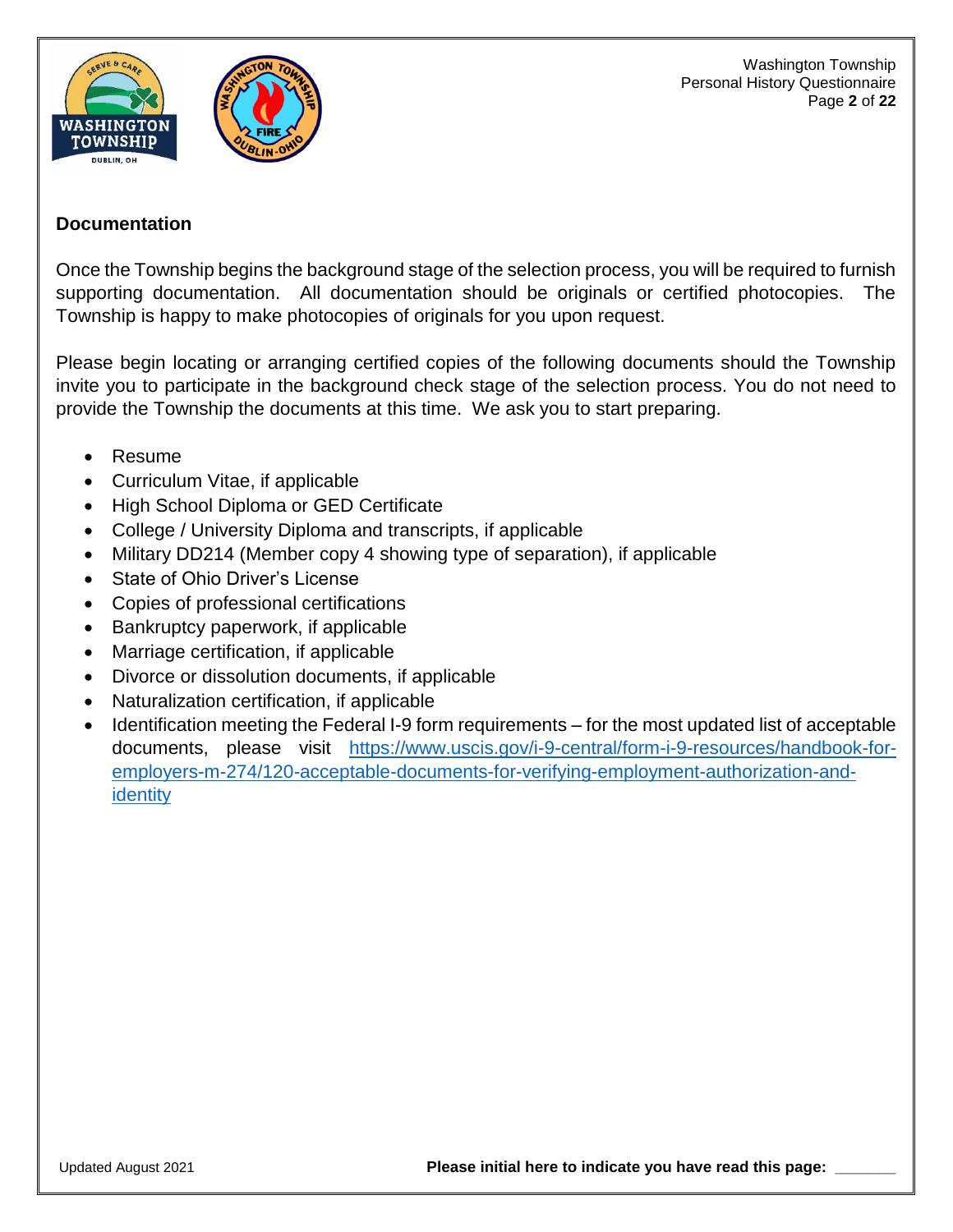

Washington Township Personal History Questionnaire Page **2** of **22**

## **Documentation**

Once the Township begins the background stage of the selection process, you will be required to furnish supporting documentation. All documentation should be originals or certified photocopies. The Township is happy to make photocopies of originals for you upon request.

Please begin locating or arranging certified copies of the following documents should the Township invite you to participate in the background check stage of the selection process. You do not need to provide the Township the documents at this time. We ask you to start preparing.

- Resume
- Curriculum Vitae, if applicable
- High School Diploma or GED Certificate
- College / University Diploma and transcripts, if applicable
- Military DD214 (Member copy 4 showing type of separation), if applicable
- State of Ohio Driver's License
- Copies of professional certifications
- Bankruptcy paperwork, if applicable
- Marriage certification, if applicable
- Divorce or dissolution documents, if applicable
- Naturalization certification, if applicable
- Identification meeting the Federal I-9 form requirements for the most updated list of acceptable documents, please visit [https://www.uscis.gov/i-9-central/form-i-9-resources/handbook-for](https://www.uscis.gov/i-9-central/form-i-9-resources/handbook-for-employers-m-274/120-acceptable-documents-for-verifying-employment-authorization-and-identity)[employers-m-274/120-acceptable-documents-for-verifying-employment-authorization-and](https://www.uscis.gov/i-9-central/form-i-9-resources/handbook-for-employers-m-274/120-acceptable-documents-for-verifying-employment-authorization-and-identity)[identity](https://www.uscis.gov/i-9-central/form-i-9-resources/handbook-for-employers-m-274/120-acceptable-documents-for-verifying-employment-authorization-and-identity)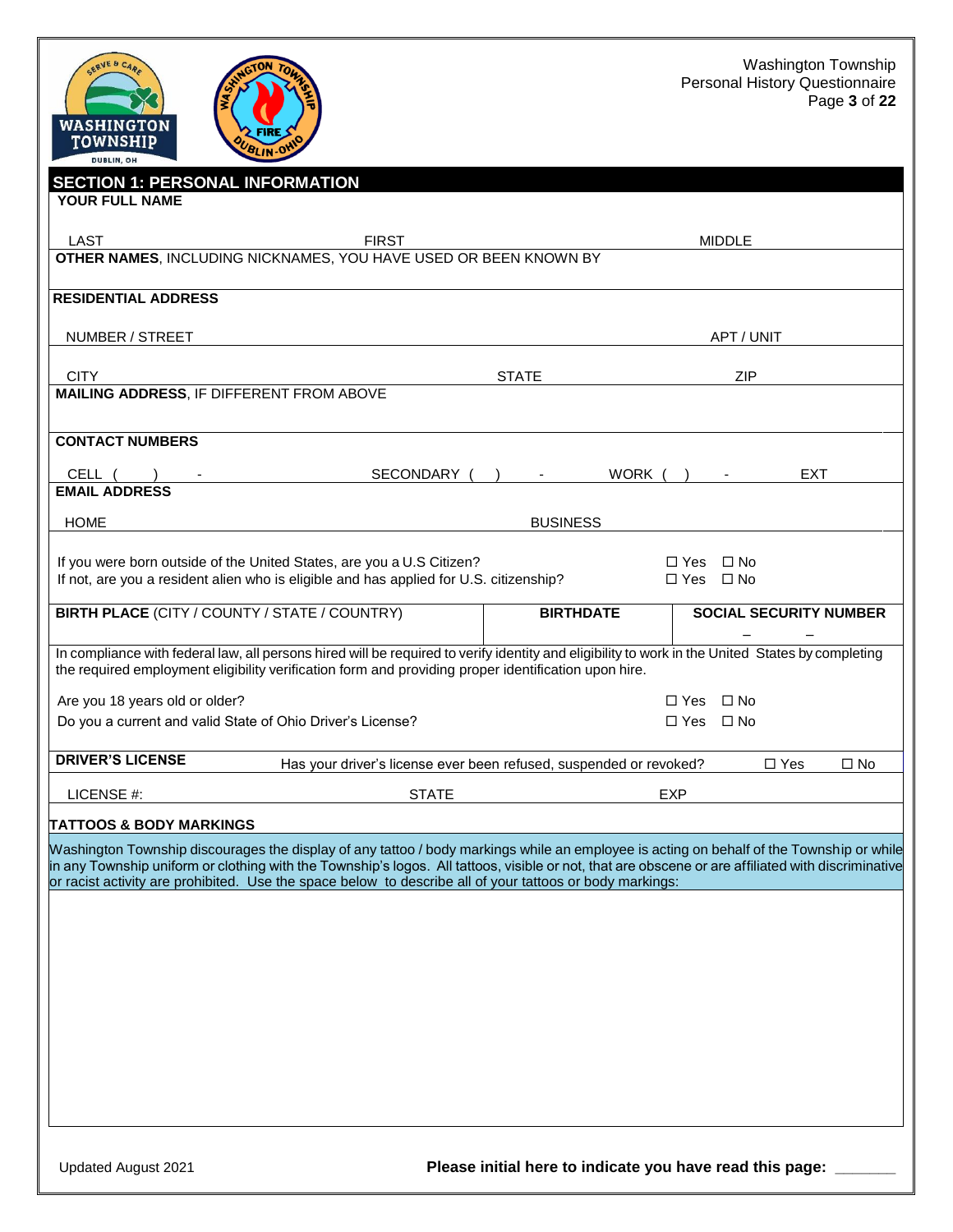



| <b>SECTION 1: PERSONAL INFORMATION</b>                                                                                                                                                                                                                   |              |              |                  |        |                      |               |                               |              |
|----------------------------------------------------------------------------------------------------------------------------------------------------------------------------------------------------------------------------------------------------------|--------------|--------------|------------------|--------|----------------------|---------------|-------------------------------|--------------|
| YOUR FULL NAME                                                                                                                                                                                                                                           |              |              |                  |        |                      |               |                               |              |
| LAST<br><b>FIRST</b>                                                                                                                                                                                                                                     |              |              |                  |        |                      | <b>MIDDLE</b> |                               |              |
| OTHER NAMES, INCLUDING NICKNAMES, YOU HAVE USED OR BEEN KNOWN BY                                                                                                                                                                                         |              |              |                  |        |                      |               |                               |              |
|                                                                                                                                                                                                                                                          |              |              |                  |        |                      |               |                               |              |
| <b>RESIDENTIAL ADDRESS</b>                                                                                                                                                                                                                               |              |              |                  |        |                      |               |                               |              |
| NUMBER / STREET                                                                                                                                                                                                                                          |              |              |                  |        |                      | APT / UNIT    |                               |              |
| <b>CITY</b>                                                                                                                                                                                                                                              |              | <b>STATE</b> |                  |        |                      | <b>ZIP</b>    |                               |              |
| MAILING ADDRESS, IF DIFFERENT FROM ABOVE                                                                                                                                                                                                                 |              |              |                  |        |                      |               |                               |              |
|                                                                                                                                                                                                                                                          |              |              |                  |        |                      |               |                               |              |
| <b>CONTACT NUMBERS</b>                                                                                                                                                                                                                                   |              |              |                  |        |                      |               |                               |              |
| CELL (                                                                                                                                                                                                                                                   | SECONDARY (  |              |                  | WORK ( |                      |               | <b>EXT</b>                    |              |
| <b>EMAIL ADDRESS</b>                                                                                                                                                                                                                                     |              |              |                  |        |                      |               |                               |              |
|                                                                                                                                                                                                                                                          |              |              |                  |        |                      |               |                               |              |
| <b>HOME</b>                                                                                                                                                                                                                                              |              |              | <b>BUSINESS</b>  |        |                      |               |                               |              |
| If you were born outside of the United States, are you a U.S Citizen?                                                                                                                                                                                    |              |              |                  |        | □ Yes □ No           |               |                               |              |
| If not, are you a resident alien who is eligible and has applied for U.S. citizenship?                                                                                                                                                                   |              |              |                  |        | $\Box$ Yes $\Box$ No |               |                               |              |
|                                                                                                                                                                                                                                                          |              |              |                  |        |                      |               |                               |              |
| <b>BIRTH PLACE (CITY / COUNTY / STATE / COUNTRY)</b>                                                                                                                                                                                                     |              |              | <b>BIRTHDATE</b> |        |                      |               | <b>SOCIAL SECURITY NUMBER</b> |              |
|                                                                                                                                                                                                                                                          |              |              |                  |        |                      |               |                               |              |
| In compliance with federal law, all persons hired will be required to verify identity and eligibility to work in the United States by completing<br>the required employment eligibility verification form and providing proper identification upon hire. |              |              |                  |        |                      |               |                               |              |
| Are you 18 years old or older?                                                                                                                                                                                                                           |              |              |                  |        | $\Box$ Yes $\Box$ No |               |                               |              |
| Do you a current and valid State of Ohio Driver's License?                                                                                                                                                                                               |              |              |                  |        | $\Box$ Yes $\Box$ No |               |                               |              |
|                                                                                                                                                                                                                                                          |              |              |                  |        |                      |               |                               |              |
| <b>DRIVER'S LICENSE</b><br>Has your driver's license ever been refused, suspended or revoked?                                                                                                                                                            |              |              |                  |        |                      |               | $\Box$ Yes                    | $\square$ No |
|                                                                                                                                                                                                                                                          |              |              |                  |        |                      |               |                               |              |
| LICENSE #:                                                                                                                                                                                                                                               | <b>STATE</b> |              |                  |        | <b>EXP</b>           |               |                               |              |
| TATTOOS & BODY MARKINGS                                                                                                                                                                                                                                  |              |              |                  |        |                      |               |                               |              |
| Washington Township discourages the display of any tattoo / body markings while an employee is acting on behalf of the Township or while                                                                                                                 |              |              |                  |        |                      |               |                               |              |
| in any Township uniform or clothing with the Township's logos. All tattoos, visible or not, that are obscene or are affiliated with discriminative                                                                                                       |              |              |                  |        |                      |               |                               |              |
| or racist activity are prohibited. Use the space below to describe all of your tattoos or body markings:                                                                                                                                                 |              |              |                  |        |                      |               |                               |              |
|                                                                                                                                                                                                                                                          |              |              |                  |        |                      |               |                               |              |
|                                                                                                                                                                                                                                                          |              |              |                  |        |                      |               |                               |              |
|                                                                                                                                                                                                                                                          |              |              |                  |        |                      |               |                               |              |
|                                                                                                                                                                                                                                                          |              |              |                  |        |                      |               |                               |              |
|                                                                                                                                                                                                                                                          |              |              |                  |        |                      |               |                               |              |
|                                                                                                                                                                                                                                                          |              |              |                  |        |                      |               |                               |              |
|                                                                                                                                                                                                                                                          |              |              |                  |        |                      |               |                               |              |
|                                                                                                                                                                                                                                                          |              |              |                  |        |                      |               |                               |              |
|                                                                                                                                                                                                                                                          |              |              |                  |        |                      |               |                               |              |
|                                                                                                                                                                                                                                                          |              |              |                  |        |                      |               |                               |              |
|                                                                                                                                                                                                                                                          |              |              |                  |        |                      |               |                               |              |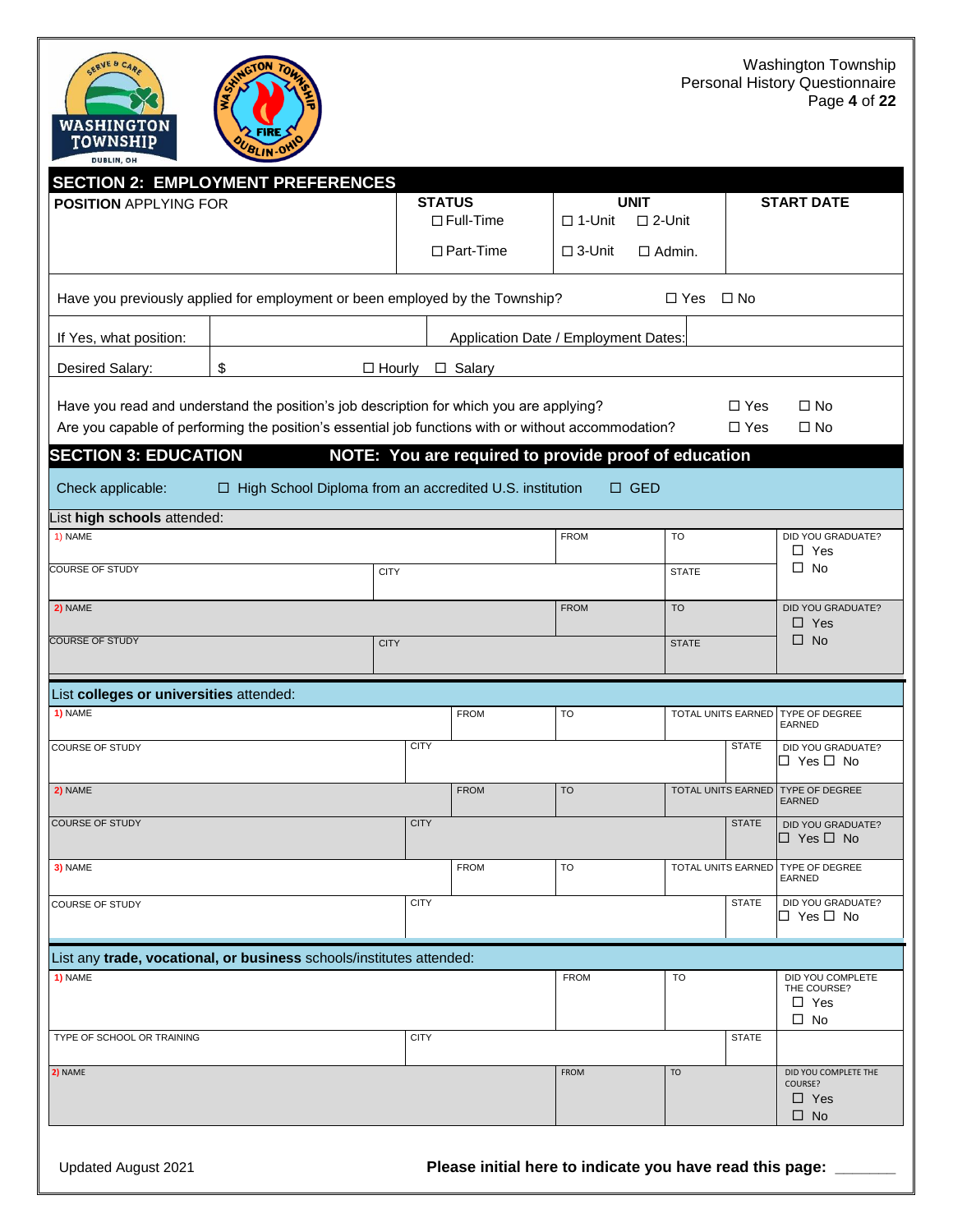



|                                                                                                                                                                                                | <b>SECTION 2: EMPLOYMENT PREFERENCES</b>                                     |               |                          |                                                      |                    |                   |                                                            |
|------------------------------------------------------------------------------------------------------------------------------------------------------------------------------------------------|------------------------------------------------------------------------------|---------------|--------------------------|------------------------------------------------------|--------------------|-------------------|------------------------------------------------------------|
| <b>POSITION APPLYING FOR</b>                                                                                                                                                                   |                                                                              | <b>STATUS</b> |                          | <b>UNIT</b>                                          |                    | <b>START DATE</b> |                                                            |
|                                                                                                                                                                                                |                                                                              |               | $\Box$ Full-Time         | $\square$ 2-Unit<br>$\Box$ 1-Unit                    |                    |                   |                                                            |
|                                                                                                                                                                                                |                                                                              |               | $\Box$ Part-Time         | $\square$ 3-Unit                                     | $\Box$ Admin.      |                   |                                                            |
|                                                                                                                                                                                                | Have you previously applied for employment or been employed by the Township? |               | $\Box$ Yes               | $\Box$ No                                            |                    |                   |                                                            |
| If Yes, what position:                                                                                                                                                                         | Application Date / Employment Dates:                                         |               |                          |                                                      |                    |                   |                                                            |
| Desired Salary:                                                                                                                                                                                | \$<br>$\Box$ Hourly                                                          |               | □ Salary                 |                                                      |                    |                   |                                                            |
|                                                                                                                                                                                                |                                                                              |               |                          |                                                      |                    |                   |                                                            |
| Have you read and understand the position's job description for which you are applying?<br>Are you capable of performing the position's essential job functions with or without accommodation? |                                                                              |               | $\Box$ Yes<br>$\Box$ Yes | $\square$ No<br>$\square$ No                         |                    |                   |                                                            |
| <b>SECTION 3: EDUCATION</b>                                                                                                                                                                    |                                                                              |               |                          | NOTE: You are required to provide proof of education |                    |                   |                                                            |
|                                                                                                                                                                                                |                                                                              |               |                          |                                                      |                    |                   |                                                            |
| Check applicable:                                                                                                                                                                              | □ High School Diploma from an accredited U.S. institution                    |               |                          | $\square$ GED                                        |                    |                   |                                                            |
| ist high schools attended:                                                                                                                                                                     |                                                                              |               |                          |                                                      |                    |                   |                                                            |
| 1) NAME                                                                                                                                                                                        |                                                                              |               |                          | <b>FROM</b>                                          | TO                 |                   | DID YOU GRADUATE?<br>$\Box$ Yes                            |
| <b>COURSE OF STUDY</b>                                                                                                                                                                         | <b>CITY</b>                                                                  |               |                          |                                                      | <b>STATE</b>       |                   | $\square$ No                                               |
| 2) NAME                                                                                                                                                                                        |                                                                              |               |                          | <b>FROM</b>                                          | <b>TO</b>          |                   | <b>DID YOU GRADUATE?</b>                                   |
| <b>COURSE OF STUDY</b>                                                                                                                                                                         |                                                                              |               |                          |                                                      |                    |                   | $\Box$ Yes<br>$\square$ No                                 |
|                                                                                                                                                                                                | <b>CITY</b>                                                                  |               |                          |                                                      | <b>STATE</b>       |                   |                                                            |
| List colleges or universities attended:                                                                                                                                                        |                                                                              |               |                          |                                                      |                    |                   |                                                            |
| 1) NAME                                                                                                                                                                                        |                                                                              |               | <b>FROM</b>              | <b>TO</b>                                            | TOTAL UNITS EARNED |                   | TYPE OF DEGREE<br><b>EARNED</b>                            |
| COURSE OF STUDY                                                                                                                                                                                |                                                                              | <b>CITY</b>   |                          |                                                      |                    | <b>STATE</b>      | DID YOU GRADUATE?                                          |
|                                                                                                                                                                                                |                                                                              |               |                          |                                                      |                    |                   | □ Yes □ No                                                 |
| 2) NAME                                                                                                                                                                                        |                                                                              |               | <b>FROM</b>              | <b>TO</b>                                            | TOTAL UNITS EARNED |                   | <b>TYPE OF DEGREE</b><br><b>EARNED</b>                     |
| <b>COURSE OF STUDY</b>                                                                                                                                                                         |                                                                              | <b>CITY</b>   |                          |                                                      |                    | <b>STATE</b>      | DID YOU GRADUATE?<br>$\Box$ Yes $\Box$ No                  |
|                                                                                                                                                                                                |                                                                              |               |                          |                                                      |                    |                   |                                                            |
| 3) NAME                                                                                                                                                                                        |                                                                              |               | <b>FROM</b>              | TO                                                   |                    |                   | TOTAL UNITS EARNED TYPE OF DEGREE<br>EARNED                |
| <b>COURSE OF STUDY</b>                                                                                                                                                                         |                                                                              | <b>CITY</b>   |                          |                                                      |                    | <b>STATE</b>      | DID YOU GRADUATE?<br>$\Box$ Yes $\Box$ No                  |
|                                                                                                                                                                                                |                                                                              |               |                          |                                                      |                    |                   |                                                            |
|                                                                                                                                                                                                | List any trade, vocational, or business schools/institutes attended:         |               |                          |                                                      |                    |                   |                                                            |
| 1) NAME                                                                                                                                                                                        |                                                                              |               |                          | <b>FROM</b>                                          | TO                 |                   | DID YOU COMPLETE<br>THE COURSE?<br>$\Box$ Yes<br>$\Box$ No |
| TYPE OF SCHOOL OR TRAINING                                                                                                                                                                     |                                                                              | <b>CITY</b>   |                          |                                                      |                    | <b>STATE</b>      |                                                            |
| 2) NAME                                                                                                                                                                                        |                                                                              |               |                          | <b>FROM</b>                                          | <b>TO</b>          |                   | DID YOU COMPLETE THE                                       |
|                                                                                                                                                                                                |                                                                              |               |                          |                                                      |                    |                   | COURSE?<br>$\Box$ Yes                                      |
|                                                                                                                                                                                                |                                                                              |               |                          |                                                      |                    |                   | $\square$ No                                               |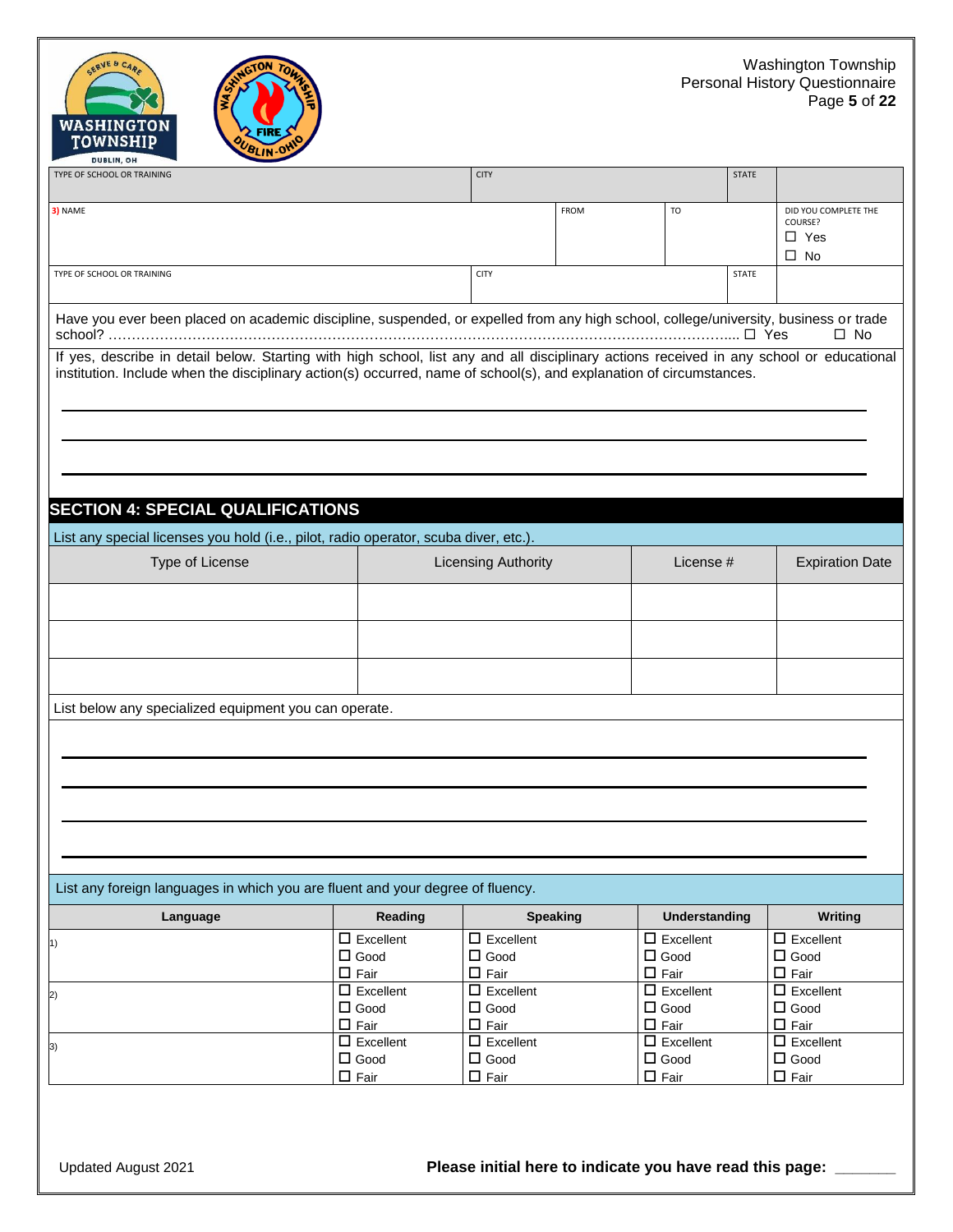



| TYPE OF SCHOOL OR TRAINING                                                                                                                                                                                                                                      |                                                   | <b>CITY</b>                                          |             |                                                      |              |                                                            |  |  |
|-----------------------------------------------------------------------------------------------------------------------------------------------------------------------------------------------------------------------------------------------------------------|---------------------------------------------------|------------------------------------------------------|-------------|------------------------------------------------------|--------------|------------------------------------------------------------|--|--|
| 3) NAME                                                                                                                                                                                                                                                         |                                                   |                                                      | <b>FROM</b> | T <sub>O</sub>                                       |              | DID YOU COMPLETE THE<br>COURSE?<br>$\Box$ Yes<br>$\Box$ No |  |  |
| TYPE OF SCHOOL OR TRAINING                                                                                                                                                                                                                                      |                                                   | <b>CITY</b>                                          |             |                                                      | <b>STATE</b> |                                                            |  |  |
| Have you ever been placed on academic discipline, suspended, or expelled from any high school, college/university, business or trade<br>$\square$ No                                                                                                            |                                                   |                                                      |             |                                                      |              |                                                            |  |  |
| If yes, describe in detail below. Starting with high school, list any and all disciplinary actions received in any school or educational<br>institution. Include when the disciplinary action(s) occurred, name of school(s), and explanation of circumstances. |                                                   |                                                      |             |                                                      |              |                                                            |  |  |
| <b>SECTION 4: SPECIAL QUALIFICATIONS</b>                                                                                                                                                                                                                        |                                                   |                                                      |             |                                                      |              |                                                            |  |  |
| List any special licenses you hold (i.e., pilot, radio operator, scuba diver, etc.).                                                                                                                                                                            |                                                   |                                                      |             |                                                      |              |                                                            |  |  |
| Type of License                                                                                                                                                                                                                                                 |                                                   | <b>Licensing Authority</b>                           |             | License #                                            |              | <b>Expiration Date</b>                                     |  |  |
|                                                                                                                                                                                                                                                                 |                                                   |                                                      |             |                                                      |              |                                                            |  |  |
|                                                                                                                                                                                                                                                                 |                                                   |                                                      |             |                                                      |              |                                                            |  |  |
|                                                                                                                                                                                                                                                                 |                                                   |                                                      |             |                                                      |              |                                                            |  |  |
| List below any specialized equipment you can operate.                                                                                                                                                                                                           |                                                   |                                                      |             |                                                      |              |                                                            |  |  |
|                                                                                                                                                                                                                                                                 |                                                   |                                                      |             |                                                      |              |                                                            |  |  |
| List any foreign languages in which you are fluent and your degree of fluency.                                                                                                                                                                                  |                                                   |                                                      |             |                                                      |              |                                                            |  |  |
| Language                                                                                                                                                                                                                                                        | Reading                                           | <b>Speaking</b>                                      |             | <b>Understanding</b>                                 |              | Writing                                                    |  |  |
| 1)                                                                                                                                                                                                                                                              | $\Box$ Excellent<br>$\Box$ Good<br>$\Box$ Fair    | $\Box$ Excellent<br>$\square$ Good<br>$\square$ Fair |             | $\square$ Excellent<br>$\Box$ Good<br>$\Box$ Fair    |              | $\Box$ Excellent<br>$\square$ Good<br>$\Box$ Fair          |  |  |
| 2)                                                                                                                                                                                                                                                              | $\square$ Excellent<br>$\Box$ Good<br>$\Box$ Fair | $\Box$ Excellent<br>$\Box$ Good<br>$\square$ Fair    |             | $\square$ Excellent<br>$\Box$ Good<br>$\square$ Fair |              | $\Box$ Excellent<br>$\square$ Good<br>$\Box$ Fair          |  |  |
| 3)                                                                                                                                                                                                                                                              | $\square$ Excellent<br>$\Box$ Good<br>$\Box$ Fair | $\square$ Excellent<br>$\Box$ Good<br>$\square$ Fair |             | $\square$ Excellent<br>$\Box$ Good<br>$\Box$ Fair    |              | $\square$ Excellent<br>$\Box$ Good<br>$\square$ Fair       |  |  |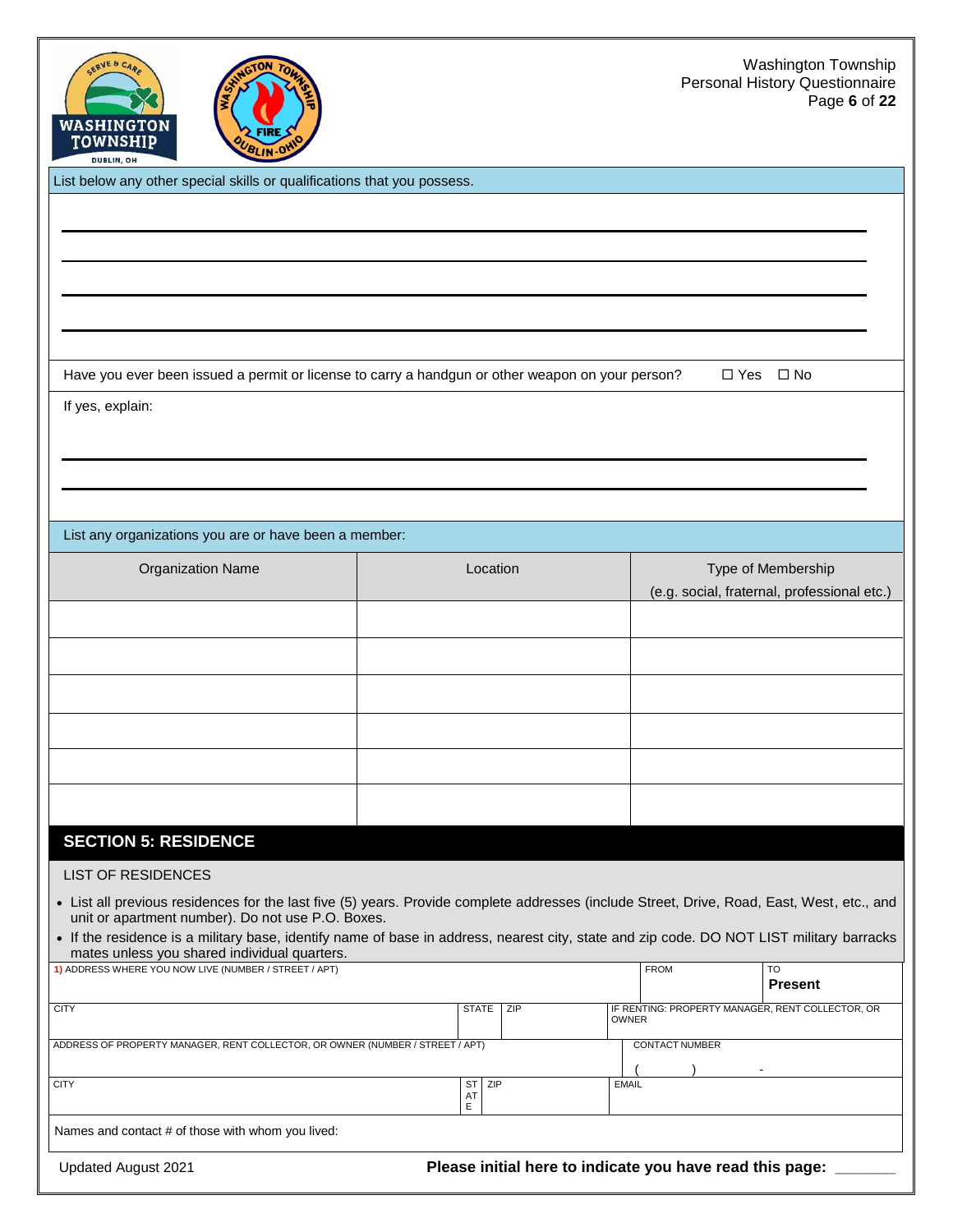

List below any other special skills or qualifications that you possess.

Have you ever been issued a permit or license to carry a handgun or other weapon on your person?  $\square$  Yes  $\square$  No

If yes, explain:

List any organizations you are or have been a member:

| <b>Organization Name</b> | Location | Type of Membership<br>(e.g. social, fraternal, professional etc.) |
|--------------------------|----------|-------------------------------------------------------------------|
|                          |          |                                                                   |
|                          |          |                                                                   |
|                          |          |                                                                   |
|                          |          |                                                                   |
|                          |          |                                                                   |
|                          |          |                                                                   |

### **SECTION 5: RESIDENCE**

#### LIST OF RESIDENCES

- List all previous residences for the last five (5) years. Provide complete addresses (include Street, Drive, Road, East, West, etc., and unit or apartment number). Do not use P.O. Boxes.
- If the residence is a military base, identify name of base in address, nearest city, state and zip code. DO NOT LIST military barracks mates unless you shared individual quarters.

| 1) ADDRESS WHERE YOU NOW LIVE (NUMBER / STREET / APT)                         |                               | <b>FROM</b><br>T <sub>O</sub><br><b>Present</b>                  |
|-------------------------------------------------------------------------------|-------------------------------|------------------------------------------------------------------|
| <b>CITY</b>                                                                   | <b>STATE</b><br><b>ZIP</b>    | IF RENTING: PROPERTY MANAGER, RENT COLLECTOR, OR<br><b>OWNER</b> |
| ADDRESS OF PROPERTY MANAGER, RENT COLLECTOR, OR OWNER (NUMBER / STREET / APT) |                               | <b>CONTACT NUMBER</b>                                            |
| <b>CITY</b>                                                                   | <b>ST</b><br>I ZIP<br>A1<br>E | <b>EMAIL</b>                                                     |
| Names and contact # of those with whom you lived:                             |                               |                                                                  |
| Updated August 2021                                                           |                               | Please initial here to indicate you have read this page:         |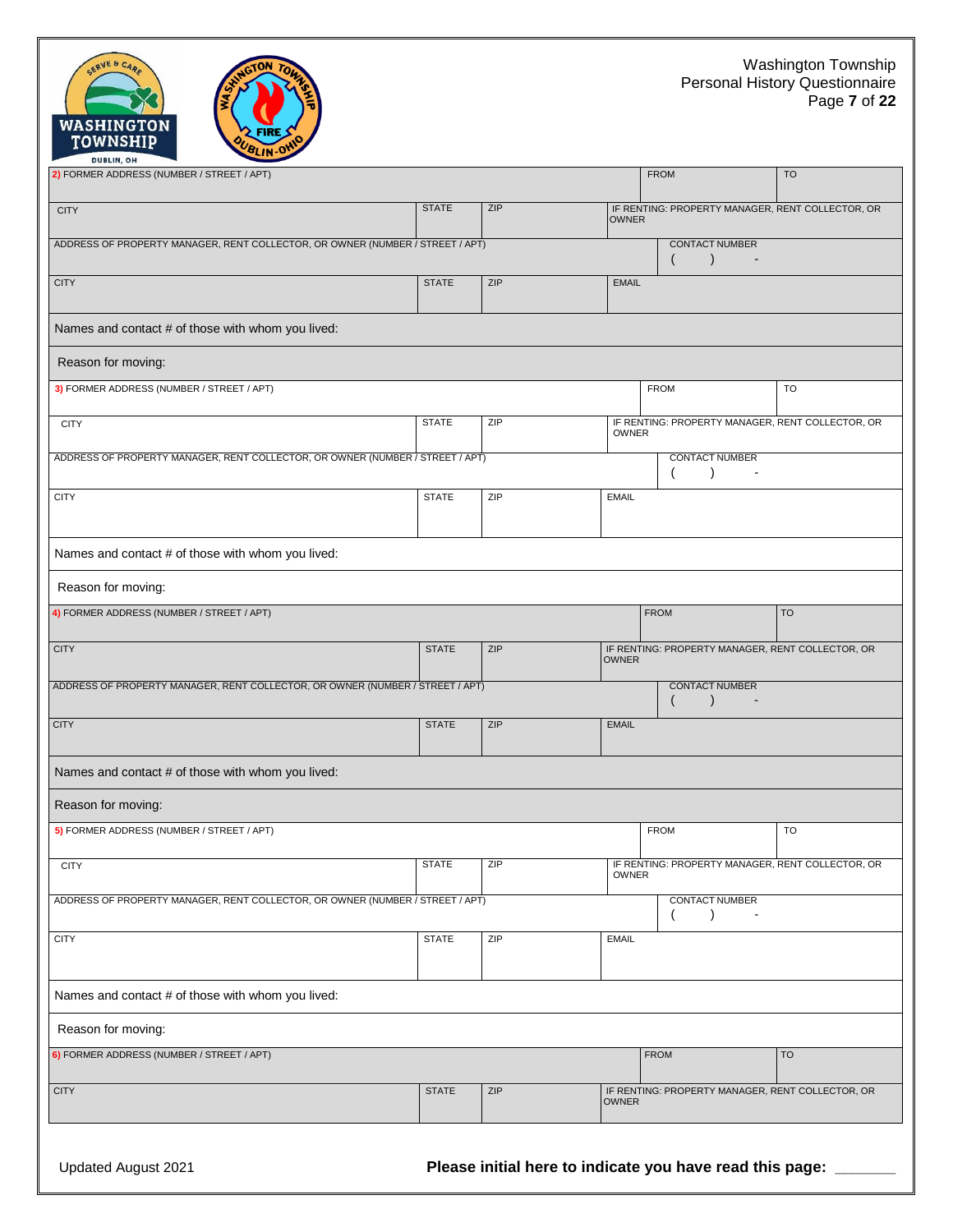#### Washington Township Personal History Questionnaire Page **7** of **22**

| <b>WASHINGTON</b><br><b>ZFIRE S'</b><br>TOWNSHIP<br>BLIN OH<br><b>DUBLIN, OH</b> |              |     |              |                                                      |           |
|----------------------------------------------------------------------------------|--------------|-----|--------------|------------------------------------------------------|-----------|
| 2) FORMER ADDRESS (NUMBER / STREET / APT)                                        |              |     |              | <b>FROM</b>                                          | <b>TO</b> |
| <b>CITY</b>                                                                      | <b>STATE</b> | ZIP | <b>OWNER</b> | IF RENTING: PROPERTY MANAGER, RENT COLLECTOR, OR     |           |
| ADDRESS OF PROPERTY MANAGER, RENT COLLECTOR, OR OWNER (NUMBER / STREET / APT)    |              |     |              | <b>CONTACT NUMBER</b>                                |           |
| <b>CITY</b>                                                                      | <b>STATE</b> | ZIP | <b>EMAIL</b> |                                                      |           |
| Names and contact # of those with whom you lived:                                |              |     |              |                                                      |           |
| Reason for moving:                                                               |              |     |              |                                                      |           |
| 3) FORMER ADDRESS (NUMBER / STREET / APT)                                        |              |     |              | <b>FROM</b>                                          | TO        |
| <b>CITY</b>                                                                      | <b>STATE</b> | ZIP | <b>OWNER</b> | IF RENTING: PROPERTY MANAGER, RENT COLLECTOR, OR     |           |
| ADDRESS OF PROPERTY MANAGER, RENT COLLECTOR, OR OWNER (NUMBER / STREET / APT)    |              |     |              | <b>CONTACT NUMBER</b><br>$\overline{ }$<br>$\lambda$ |           |
| <b>CITY</b>                                                                      | <b>STATE</b> | ZIP | <b>EMAIL</b> |                                                      |           |
| Names and contact # of those with whom you lived:                                |              |     |              |                                                      |           |
| Reason for moving:                                                               |              |     |              |                                                      |           |
| 4) FORMER ADDRESS (NUMBER / STREET / APT)                                        |              |     |              | <b>FROM</b>                                          | <b>TO</b> |
| <b>CITY</b>                                                                      | <b>STATE</b> | ZIP | <b>OWNER</b> | IF RENTING: PROPERTY MANAGER, RENT COLLECTOR, OR     |           |
| ADDRESS OF PROPERTY MANAGER, RENT COLLECTOR, OR OWNER (NUMBER / STREET / APT)    |              |     |              | <b>CONTACT NUMBER</b>                                |           |
| <b>CITY</b>                                                                      | <b>STATE</b> | ZIP | <b>EMAIL</b> |                                                      |           |
| Names and contact # of those with whom you lived:                                |              |     |              |                                                      |           |
| Reason for moving:                                                               |              |     |              |                                                      |           |
| 5) FORMER ADDRESS (NUMBER / STREET / APT)                                        |              |     |              | <b>FROM</b>                                          | TO        |
| <b>CITY</b>                                                                      | <b>STATE</b> | ZIP | <b>OWNER</b> | IF RENTING: PROPERTY MANAGER, RENT COLLECTOR, OR     |           |
| ADDRESS OF PROPERTY MANAGER, RENT COLLECTOR, OR OWNER (NUMBER / STREET / APT)    |              |     |              | <b>CONTACT NUMBER</b><br>$\left($<br>$\lambda$       |           |
| <b>CITY</b>                                                                      | <b>STATE</b> | ZIP | <b>EMAIL</b> |                                                      |           |
| Names and contact # of those with whom you lived:                                |              |     |              |                                                      |           |
| Reason for moving:                                                               |              |     |              |                                                      |           |
| 6) FORMER ADDRESS (NUMBER / STREET / APT)                                        |              |     |              | <b>FROM</b>                                          | <b>TO</b> |
| <b>CITY</b>                                                                      | <b>STATE</b> | ZIP | <b>OWNER</b> | IF RENTING: PROPERTY MANAGER, RENT COLLECTOR, OR     |           |

SERVE & CAR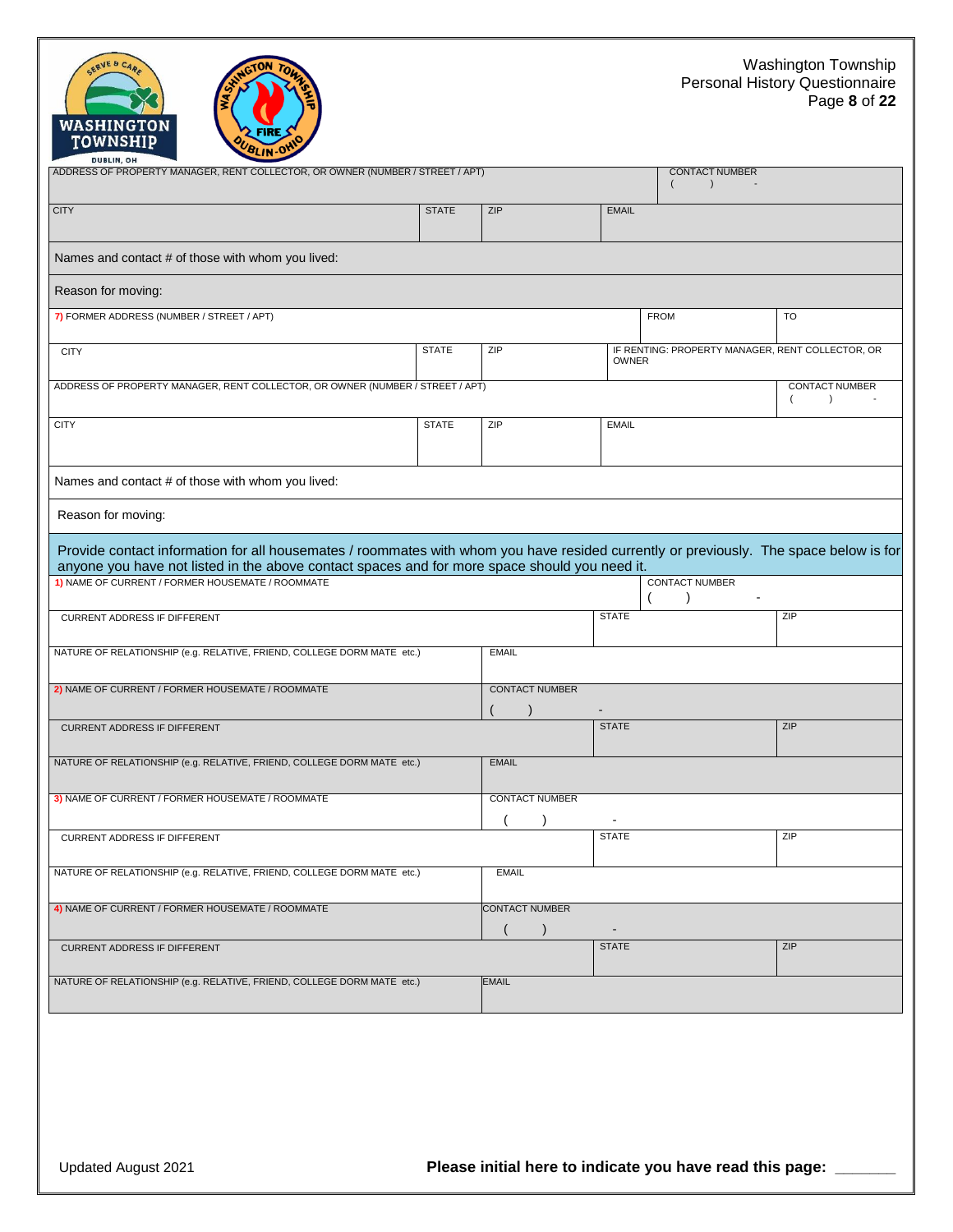



| <b>DUBLIN, UN</b><br>ADDRESS OF PROPERTY MANAGER, RENT COLLECTOR, OR OWNER (NUMBER / STREET / APT)                                                                                                                                     |              |                       |                | <b>CONTACT NUMBER</b><br>$\lambda$               |                                                |  |  |
|----------------------------------------------------------------------------------------------------------------------------------------------------------------------------------------------------------------------------------------|--------------|-----------------------|----------------|--------------------------------------------------|------------------------------------------------|--|--|
| <b>CITY</b>                                                                                                                                                                                                                            | <b>STATE</b> | ZIP                   | <b>EMAIL</b>   |                                                  |                                                |  |  |
| Names and contact # of those with whom you lived:                                                                                                                                                                                      |              |                       |                |                                                  |                                                |  |  |
| Reason for moving:                                                                                                                                                                                                                     |              |                       |                |                                                  |                                                |  |  |
| 7) FORMER ADDRESS (NUMBER / STREET / APT)                                                                                                                                                                                              |              |                       |                | <b>FROM</b>                                      | <b>TO</b>                                      |  |  |
| <b>CITY</b>                                                                                                                                                                                                                            | <b>STATE</b> | ZIP                   | <b>OWNER</b>   | IF RENTING: PROPERTY MANAGER, RENT COLLECTOR, OR |                                                |  |  |
| ADDRESS OF PROPERTY MANAGER, RENT COLLECTOR, OR OWNER (NUMBER / STREET / APT)                                                                                                                                                          |              |                       |                |                                                  | <b>CONTACT NUMBER</b><br>$\left($<br>$\lambda$ |  |  |
| <b>CITY</b>                                                                                                                                                                                                                            | <b>STATE</b> | ZIP                   | <b>EMAIL</b>   |                                                  |                                                |  |  |
| Names and contact # of those with whom you lived:                                                                                                                                                                                      |              |                       |                |                                                  |                                                |  |  |
| Reason for moving:                                                                                                                                                                                                                     |              |                       |                |                                                  |                                                |  |  |
| Provide contact information for all housemates / roommates with whom you have resided currently or previously. The space below is for<br>anyone you have not listed in the above contact spaces and for more space should you need it. |              |                       |                |                                                  |                                                |  |  |
| 1) NAME OF CURRENT / FORMER HOUSEMATE / ROOMMATE                                                                                                                                                                                       |              |                       |                | <b>CONTACT NUMBER</b>                            |                                                |  |  |
| CURRENT ADDRESS IF DIFFERENT                                                                                                                                                                                                           |              |                       | <b>STATE</b>   |                                                  | ZIP                                            |  |  |
| NATURE OF RELATIONSHIP (e.g. RELATIVE, FRIEND, COLLEGE DORM MATE etc.)                                                                                                                                                                 |              | <b>EMAIL</b>          |                |                                                  |                                                |  |  |
| 2) NAME OF CURRENT / FORMER HOUSEMATE / ROOMMATE                                                                                                                                                                                       |              | <b>CONTACT NUMBER</b> |                |                                                  |                                                |  |  |
| <b>CURRENT ADDRESS IF DIFFERENT</b>                                                                                                                                                                                                    |              |                       | <b>STATE</b>   |                                                  | ZIP                                            |  |  |
| NATURE OF RELATIONSHIP (e.g. RELATIVE, FRIEND, COLLEGE DORM MATE etc.)                                                                                                                                                                 |              | <b>EMAIL</b>          |                |                                                  |                                                |  |  |
| 3) NAME OF CURRENT / FORMER HOUSEMATE / ROOMMATE                                                                                                                                                                                       |              | <b>CONTACT NUMBER</b> | $\blacksquare$ |                                                  |                                                |  |  |
| <b>CURRENT ADDRESS IF DIFFERENT</b>                                                                                                                                                                                                    |              |                       | <b>STATE</b>   |                                                  | ZIP                                            |  |  |
| NATURE OF RELATIONSHIP (e.g. RELATIVE, FRIEND, COLLEGE DORM MATE etc.)                                                                                                                                                                 |              | <b>EMAIL</b>          |                |                                                  |                                                |  |  |
| 4) NAME OF CURRENT / FORMER HOUSEMATE / ROOMMATE                                                                                                                                                                                       |              | <b>CONTACT NUMBER</b> |                |                                                  |                                                |  |  |
| <b>CURRENT ADDRESS IF DIFFERENT</b>                                                                                                                                                                                                    |              |                       | <b>STATE</b>   |                                                  | ZIP                                            |  |  |
| NATURE OF RELATIONSHIP (e.g. RELATIVE, FRIEND, COLLEGE DORM MATE etc.)                                                                                                                                                                 |              | <b>EMAIL</b>          |                |                                                  |                                                |  |  |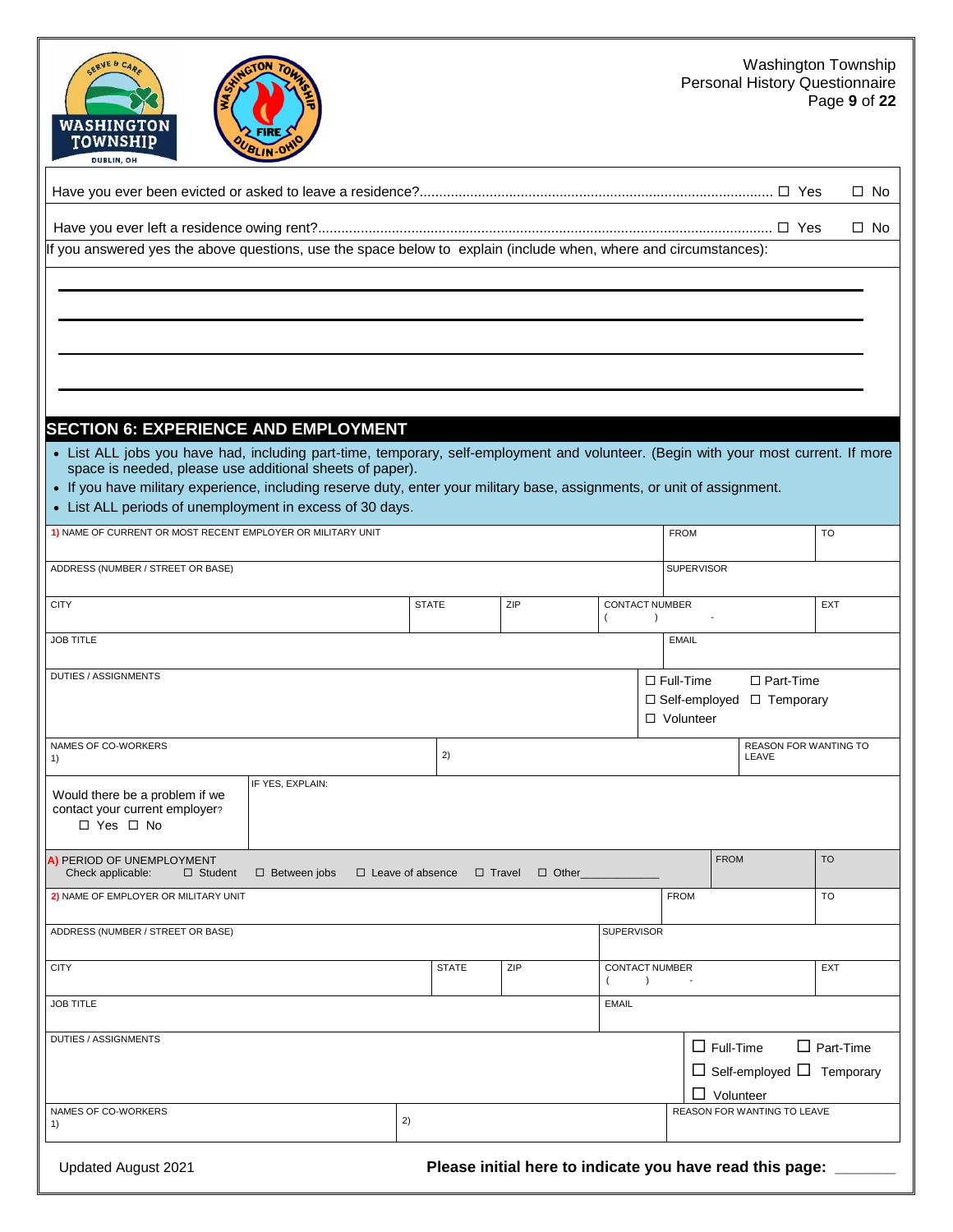| SERVE & CARE<br>GTON<br>WASHINGTON<br>FIRE<br><b>TOWNSHIP</b><br>BLIN-O<br><b>DUBLIN, OH</b>                                                                                                                                                                                                                                                                                                                                           |              |               |              |                                             |                                 |                                      | <b>Washington Township</b><br><b>Personal History Questionnaire</b> |                  | Page 9 of 22 |
|----------------------------------------------------------------------------------------------------------------------------------------------------------------------------------------------------------------------------------------------------------------------------------------------------------------------------------------------------------------------------------------------------------------------------------------|--------------|---------------|--------------|---------------------------------------------|---------------------------------|--------------------------------------|---------------------------------------------------------------------|------------------|--------------|
|                                                                                                                                                                                                                                                                                                                                                                                                                                        |              |               |              |                                             |                                 |                                      |                                                                     |                  | $\square$ No |
|                                                                                                                                                                                                                                                                                                                                                                                                                                        |              |               |              |                                             |                                 |                                      |                                                                     |                  | $\square$ No |
| If you answered yes the above questions, use the space below to explain (include when, where and circumstances):                                                                                                                                                                                                                                                                                                                       |              |               |              |                                             |                                 |                                      |                                                                     |                  |              |
| <b>SECTION 6: EXPERIENCE AND EMPLOYMENT</b><br>• List ALL jobs you have had, including part-time, temporary, self-employment and volunteer. (Begin with your most current. If more<br>space is needed, please use additional sheets of paper).<br>• If you have military experience, including reserve duty, enter your military base, assignments, or unit of assignment.<br>• List ALL periods of unemployment in excess of 30 days. |              |               |              |                                             |                                 |                                      |                                                                     |                  |              |
| 1) NAME OF CURRENT OR MOST RECENT EMPLOYER OR MILITARY UNIT                                                                                                                                                                                                                                                                                                                                                                            |              |               |              |                                             | <b>FROM</b>                     |                                      |                                                                     | <b>TO</b>        |              |
| ADDRESS (NUMBER / STREET OR BASE)                                                                                                                                                                                                                                                                                                                                                                                                      |              |               |              |                                             |                                 | SUPERVISOR                           |                                                                     |                  |              |
| <b>CITY</b>                                                                                                                                                                                                                                                                                                                                                                                                                            | <b>STATE</b> |               | ZIP          | <b>CONTACT NUMBER</b><br>$\overline{ }$     | $\lambda$                       |                                      |                                                                     | <b>EXT</b>       |              |
| <b>JOB TITLE</b>                                                                                                                                                                                                                                                                                                                                                                                                                       |              |               |              |                                             | <b>EMAIL</b>                    |                                      |                                                                     |                  |              |
| <b>DUTIES / ASSIGNMENTS</b>                                                                                                                                                                                                                                                                                                                                                                                                            |              |               |              |                                             | $\Box$ Full-Time<br>□ Volunteer |                                      | $\Box$ Part-Time<br>$\Box$ Self-employed $\Box$ Temporary           |                  |              |
| NAMES OF CO-WORKERS<br>1)                                                                                                                                                                                                                                                                                                                                                                                                              |              | 2)            |              |                                             |                                 |                                      | <b>REASON FOR WANTING TO</b><br>LEAVE                               |                  |              |
| IF YES, EXPLAIN:<br>Would there be a problem if we<br>contact your current employer?<br>$\Box$ Yes $\Box$ No                                                                                                                                                                                                                                                                                                                           |              |               |              |                                             |                                 |                                      |                                                                     |                  |              |
| A) PERIOD OF UNEMPLOYMENT<br>Check applicable:<br>$\Box$ Student<br>$\Box$ Between jobs<br>$\Box$ Leave of absence                                                                                                                                                                                                                                                                                                                     |              | $\Box$ Travel | $\Box$ Other |                                             |                                 | <b>FROM</b>                          |                                                                     | <b>TO</b>        |              |
| 2) NAME OF EMPLOYER OR MILITARY UNIT                                                                                                                                                                                                                                                                                                                                                                                                   |              |               |              |                                             | <b>FROM</b>                     |                                      |                                                                     | TO               |              |
| ADDRESS (NUMBER / STREET OR BASE)                                                                                                                                                                                                                                                                                                                                                                                                      |              |               |              | <b>SUPERVISOR</b>                           |                                 |                                      |                                                                     |                  |              |
| <b>CITY</b>                                                                                                                                                                                                                                                                                                                                                                                                                            |              | <b>STATE</b>  | ZIP          | CONTACT NUMBER<br>$\rightarrow$<br>$\left($ |                                 |                                      |                                                                     | <b>EXT</b>       |              |
| <b>JOB TITLE</b>                                                                                                                                                                                                                                                                                                                                                                                                                       |              |               |              | <b>EMAIL</b>                                |                                 |                                      |                                                                     |                  |              |
| <b>DUTIES / ASSIGNMENTS</b>                                                                                                                                                                                                                                                                                                                                                                                                            |              |               |              |                                             |                                 | $\Box$ Full-Time<br>$\Box$ Volunteer | $\Box$ Self-employed $\Box$ Temporary                               | $\Box$ Part-Time |              |
| NAMES OF CO-WORKERS<br>1)                                                                                                                                                                                                                                                                                                                                                                                                              | 2)           |               |              |                                             |                                 |                                      | REASON FOR WANTING TO LEAVE                                         |                  |              |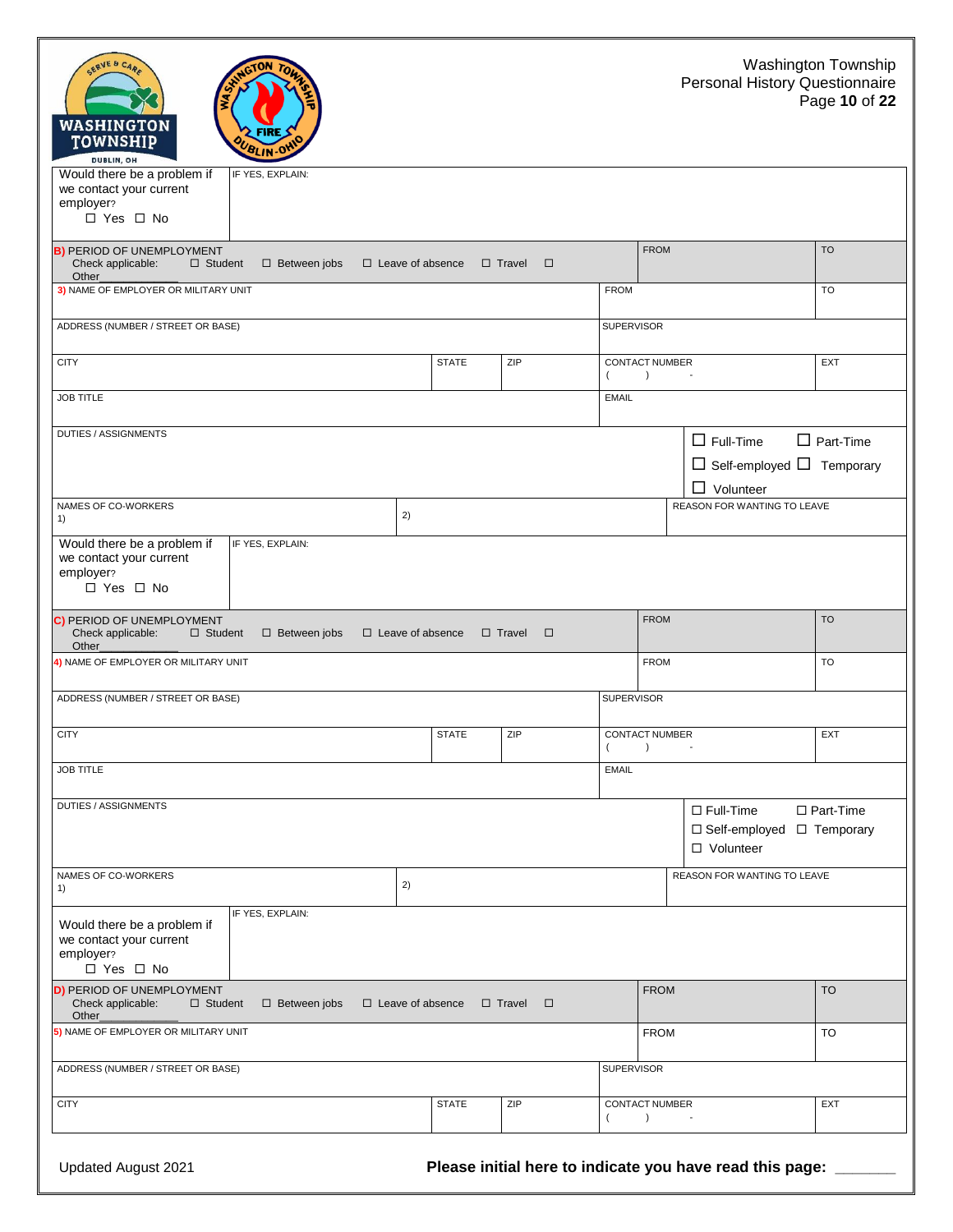| Washington Township<br>SERVE & CARE<br>NWGTON TO<br>Personal History Questionnaire<br>Page 10 of 22<br><b>WASHINGTON</b><br><b>FIRE</b><br><b>TOWNSHIP</b><br>BLIN OHIO<br>DUBLIN, OH |                     |                         |                         |                                                          |                                                                               |                                 |  |
|---------------------------------------------------------------------------------------------------------------------------------------------------------------------------------------|---------------------|-------------------------|-------------------------|----------------------------------------------------------|-------------------------------------------------------------------------------|---------------------------------|--|
| Would there be a problem if<br>we contact your current<br>employer?<br>$\Box$ Yes $\Box$ No                                                                                           | IF YES, EXPLAIN:    |                         |                         |                                                          |                                                                               |                                 |  |
| <b>B) PERIOD OF UNEMPLOYMENT</b><br>Check applicable:<br>$\Box$ Student<br>Other_                                                                                                     | $\Box$ Between jobs | $\Box$ Leave of absence | $\Box$ Travel<br>$\Box$ |                                                          | <b>FROM</b>                                                                   | <b>TO</b>                       |  |
| 3) NAME OF EMPLOYER OR MILITARY UNIT                                                                                                                                                  |                     |                         |                         | <b>FROM</b>                                              |                                                                               | <b>TO</b>                       |  |
| ADDRESS (NUMBER / STREET OR BASE)                                                                                                                                                     |                     |                         |                         | <b>SUPERVISOR</b>                                        |                                                                               |                                 |  |
| <b>CITY</b>                                                                                                                                                                           |                     | <b>STATE</b>            | ZIP                     | CONTACT NUMBER<br>$\rightarrow$<br>$\left($              | $\sim$                                                                        | <b>EXT</b>                      |  |
| <b>JOB TITLE</b>                                                                                                                                                                      |                     |                         |                         | <b>EMAIL</b>                                             |                                                                               |                                 |  |
| DUTIES / ASSIGNMENTS                                                                                                                                                                  |                     |                         |                         |                                                          | $\Box$ Full-Time<br>$\Box$ Self-employed $\Box$ Temporary<br>$\Box$ Volunteer | $\Box$ Part-Time                |  |
| NAMES OF CO-WORKERS<br>1)                                                                                                                                                             | 2)                  |                         |                         |                                                          | <b>REASON FOR WANTING TO LEAVE</b>                                            |                                 |  |
| Would there be a problem if<br>we contact your current<br>employer?<br>$\Box$ Yes $\Box$ No                                                                                           | IF YES, EXPLAIN:    |                         |                         |                                                          |                                                                               |                                 |  |
| C) PERIOD OF UNEMPLOYMENT<br>Check applicable:<br>$\Box$ Student<br>Other_                                                                                                            | $\Box$ Between jobs | $\Box$ Leave of absence | $\Box$ Travel<br>$\Box$ |                                                          | <b>FROM</b>                                                                   | <b>TO</b>                       |  |
| 4) NAME OF EMPLOYER OR MILITARY UNIT                                                                                                                                                  |                     |                         |                         |                                                          | <b>FROM</b>                                                                   | <b>TO</b>                       |  |
| ADDRESS (NUMBER / STREET OR BASE)                                                                                                                                                     |                     |                         |                         | <b>SUPERVISOR</b>                                        |                                                                               |                                 |  |
| <b>CITY</b>                                                                                                                                                                           |                     | <b>STATE</b>            | ZIP                     | <b>CONTACT NUMBER</b><br>$\left($<br>$\lambda$           | $\sim$                                                                        | <b>EXT</b>                      |  |
| <b>JOB TITLE</b>                                                                                                                                                                      |                     |                         |                         | <b>EMAIL</b>                                             |                                                                               |                                 |  |
| DUTIES / ASSIGNMENTS                                                                                                                                                                  |                     |                         |                         |                                                          | $\Box$ Full-Time<br>□ Self-employed<br>□ Volunteer                            | $\Box$ Part-Time<br>□ Temporary |  |
| NAMES OF CO-WORKERS<br>1)                                                                                                                                                             | 2)                  |                         |                         |                                                          | REASON FOR WANTING TO LEAVE                                                   |                                 |  |
| Would there be a problem if<br>we contact your current<br>employer?<br>$\Box$ Yes $\Box$ No                                                                                           | IF YES, EXPLAIN:    |                         |                         |                                                          |                                                                               |                                 |  |
| <b>D) PERIOD OF UNEMPLOYMENT</b><br>Check applicable:<br>$\Box$ Student<br>Other_                                                                                                     | $\Box$ Between jobs | $\Box$ Leave of absence | $\Box$ Travel<br>$\Box$ |                                                          | <b>FROM</b>                                                                   | <b>TO</b>                       |  |
| 5) NAME OF EMPLOYER OR MILITARY UNIT                                                                                                                                                  |                     |                         |                         |                                                          | <b>FROM</b>                                                                   | <b>TO</b>                       |  |
| ADDRESS (NUMBER / STREET OR BASE)                                                                                                                                                     |                     |                         |                         | <b>SUPERVISOR</b>                                        |                                                                               |                                 |  |
| <b>CITY</b>                                                                                                                                                                           |                     | <b>STATE</b>            | ZIP                     | <b>CONTACT NUMBER</b><br>$\rightarrow$<br>$\overline{ }$ |                                                                               | EXT                             |  |
|                                                                                                                                                                                       |                     |                         |                         |                                                          |                                                                               |                                 |  |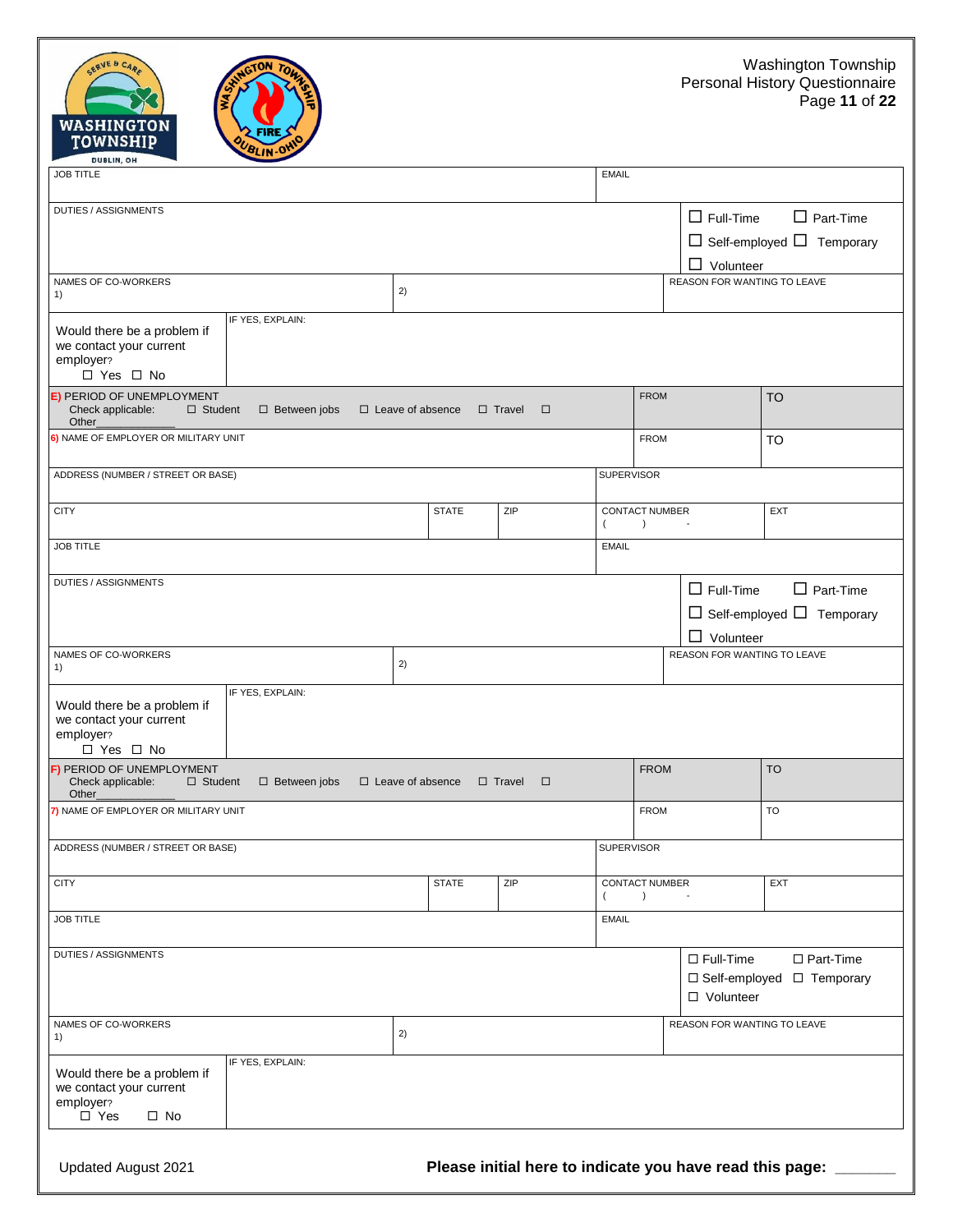| SERVE & CARE<br><b>WASHINGTON</b><br><b>TOWNSHIP</b><br>DUBLIN, OH                                       |                         |              |                         |                                                          |                                                                     | Washington Town<br><b>Personal History Questionr</b><br>Page 11 d |
|----------------------------------------------------------------------------------------------------------|-------------------------|--------------|-------------------------|----------------------------------------------------------|---------------------------------------------------------------------|-------------------------------------------------------------------|
| <b>JOB TITLE</b>                                                                                         |                         |              |                         | <b>EMAIL</b>                                             |                                                                     |                                                                   |
| DUTIES / ASSIGNMENTS                                                                                     |                         |              |                         |                                                          | $\Box$ Full-Time<br>$\Box$ Volunteer                                | $\Box$ Part-Time<br>$\Box$ Self-employed $\Box$ Tempora           |
| NAMES OF CO-WORKERS<br>1)                                                                                | 2)                      |              |                         |                                                          | REASON FOR WANTING TO LEAVE                                         |                                                                   |
| IF YES, EXPLAIN:<br>Would there be a problem if<br>we contact your current<br>employer?<br>□ Yes □ No    |                         |              |                         |                                                          |                                                                     |                                                                   |
| <b>E) PERIOD OF UNEMPLOYMENT</b><br>Check applicable:<br>$\Box$ Student<br>$\Box$ Between jobs<br>Other_ | $\Box$ Leave of absence | □ Travel     | $\Box$                  | <b>FROM</b>                                              |                                                                     | <b>TO</b>                                                         |
| 6) NAME OF EMPLOYER OR MILITARY UNIT                                                                     |                         |              |                         | <b>FROM</b>                                              |                                                                     | <b>TO</b>                                                         |
| ADDRESS (NUMBER / STREET OR BASE)                                                                        |                         |              |                         | <b>SUPERVISOR</b>                                        |                                                                     |                                                                   |
| <b>CITY</b>                                                                                              |                         | <b>STATE</b> | ZIP                     | <b>CONTACT NUMBER</b><br>$\overline{ }$<br>$\rightarrow$ |                                                                     | EXT                                                               |
| <b>JOB TITLE</b>                                                                                         |                         |              |                         | <b>EMAIL</b>                                             |                                                                     |                                                                   |
| <b>DUTIES / ASSIGNMENTS</b><br>NAMES OF CO-WORKERS                                                       | 2)                      |              |                         |                                                          | $\Box$ Full-Time<br>$\Box$ Volunteer<br>REASON FOR WANTING TO LEAVE | $\Box$ Part-Time<br>$\Box$ Self-employed $\Box$ Tempora           |
| 1)                                                                                                       |                         |              |                         |                                                          |                                                                     |                                                                   |
| IF YES, EXPLAIN:<br>Would there be a problem if<br>we contact your current<br>employer?<br>□ Yes □ No    |                         |              |                         |                                                          |                                                                     |                                                                   |
| F) PERIOD OF UNEMPLOYMENT<br>Check applicable:<br>$\Box$ Student<br>$\Box$ Between jobs<br>Other_        | $\Box$ Leave of absence |              | $\Box$ Travel<br>$\Box$ | <b>FROM</b>                                              |                                                                     | <b>TO</b>                                                         |
| 7) NAME OF EMPLOYER OR MILITARY UNIT                                                                     |                         |              |                         | <b>FROM</b>                                              |                                                                     | TO                                                                |
| ADDRESS (NUMBER / STREET OR BASE)                                                                        |                         |              |                         | <b>SUPERVISOR</b>                                        |                                                                     |                                                                   |
| <b>CITY</b>                                                                                              |                         | <b>STATE</b> | ZIP                     | CONTACT NUMBER                                           |                                                                     | EXT                                                               |

 $\Box$  Self-employed  $\Box$  Temporary

| Would there be a problem if<br>we contact your current<br>employer?<br>□ Yes □ No                 | IF YES, EXPLAIN:    |                         |              |                         |                                                       |             |                                      |                                                           |
|---------------------------------------------------------------------------------------------------|---------------------|-------------------------|--------------|-------------------------|-------------------------------------------------------|-------------|--------------------------------------|-----------------------------------------------------------|
| <b>E) PERIOD OF UNEMPLOYMENT</b><br>Check applicable:<br>$\Box$ Student<br>Other_                 | $\Box$ Between jobs | $\Box$ Leave of absence |              | $\Box$ Travel<br>$\Box$ |                                                       | <b>FROM</b> |                                      | <b>TO</b>                                                 |
| 6) NAME OF EMPLOYER OR MILITARY UNIT                                                              |                     |                         |              |                         |                                                       | <b>FROM</b> |                                      | TO                                                        |
| ADDRESS (NUMBER / STREET OR BASE)                                                                 |                     |                         |              |                         | <b>SUPERVISOR</b>                                     |             |                                      |                                                           |
| <b>CITY</b>                                                                                       |                     |                         | <b>STATE</b> | ZIP                     | <b>CONTACT NUMBER</b><br>$\left( \right)$<br>(        |             |                                      | EXT                                                       |
| <b>JOB TITLE</b>                                                                                  |                     |                         |              |                         | <b>EMAIL</b>                                          |             |                                      |                                                           |
| <b>DUTIES / ASSIGNMENTS</b>                                                                       |                     |                         |              |                         |                                                       |             | $\Box$ Full-Time<br>$\Box$ Volunteer | $\Box$ Part-Time<br>$\Box$ Self-employed $\Box$ Temporary |
| NAMES OF CO-WORKERS<br>1)                                                                         |                     | 2)                      |              |                         |                                                       |             | REASON FOR WANTING TO LEAVE          |                                                           |
| Would there be a problem if<br>we contact your current<br>employer?<br>$\Box$ Yes $\Box$ No       | IF YES, EXPLAIN:    |                         |              |                         |                                                       |             |                                      |                                                           |
| F) PERIOD OF UNEMPLOYMENT<br>Check applicable:<br>$\Box$ Student<br>Other_                        | $\Box$ Between jobs | $\Box$ Leave of absence |              | $\Box$ Travel<br>$\Box$ |                                                       | <b>FROM</b> |                                      | <b>TO</b>                                                 |
| 7) NAME OF EMPLOYER OR MILITARY UNIT                                                              |                     |                         |              |                         |                                                       | <b>FROM</b> |                                      | <b>TO</b>                                                 |
| ADDRESS (NUMBER / STREET OR BASE)                                                                 |                     |                         |              |                         | <b>SUPERVISOR</b>                                     |             |                                      |                                                           |
| <b>CITY</b>                                                                                       |                     |                         | <b>STATE</b> | ZIP                     | <b>CONTACT NUMBER</b><br>$\left( \right)$<br>$\left($ |             |                                      | EXT                                                       |
| <b>JOB TITLE</b>                                                                                  |                     |                         |              |                         | <b>EMAIL</b>                                          |             |                                      |                                                           |
| DUTIES / ASSIGNMENTS                                                                              |                     |                         |              |                         |                                                       |             | $\Box$ Full-Time<br>□ Volunteer      | $\Box$ Part-Time<br>$\Box$ Self-employed $\Box$ Temporary |
| NAMES OF CO-WORKERS<br>1)                                                                         |                     | 2)                      |              |                         |                                                       |             | REASON FOR WANTING TO LEAVE          |                                                           |
| Would there be a problem if<br>we contact your current<br>employer?<br>$\Box$ Yes<br>$\square$ No | IF YES, EXPLAIN:    |                         |              |                         |                                                       |             |                                      |                                                           |
|                                                                                                   |                     |                         |              |                         |                                                       |             |                                      |                                                           |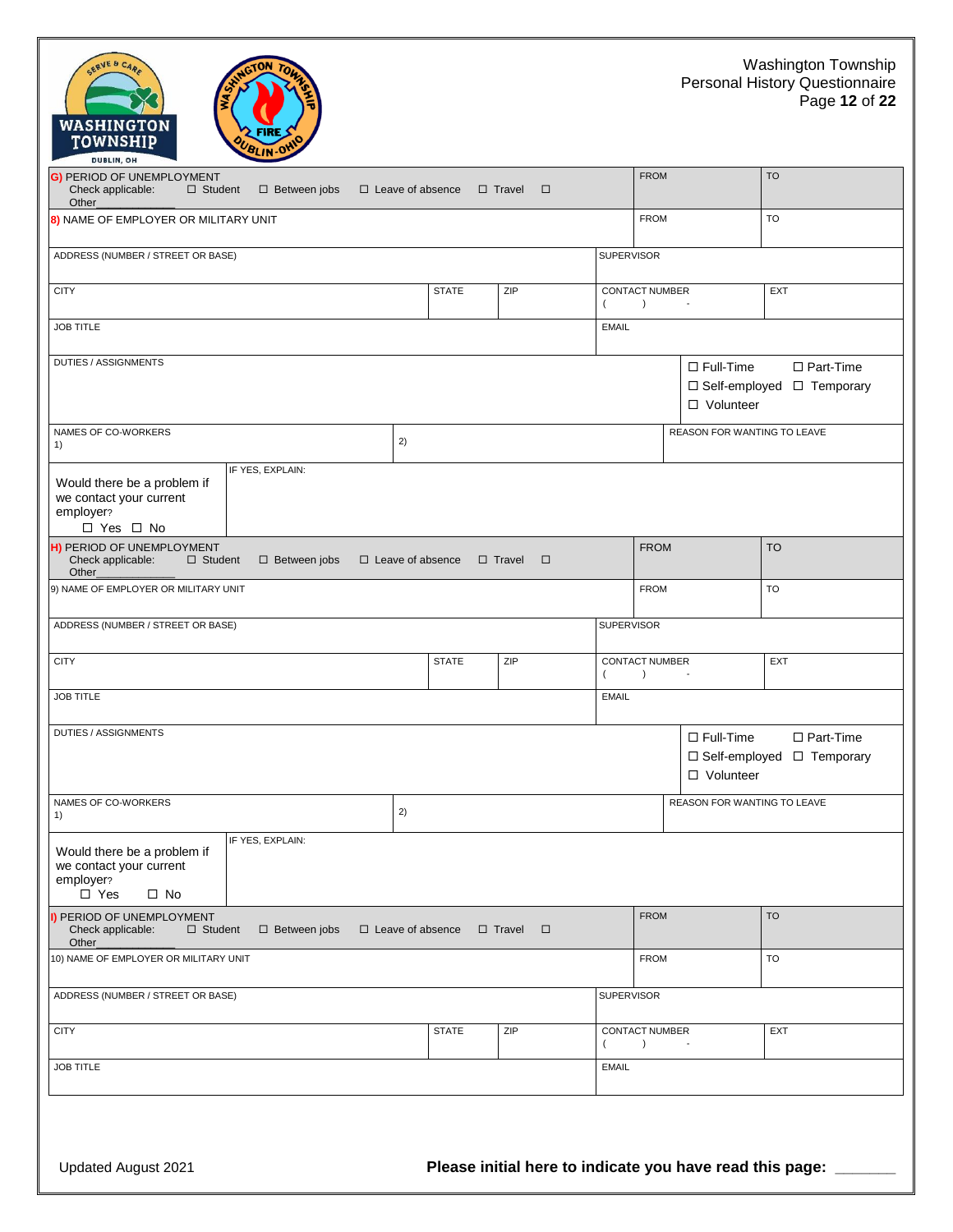|             | Washington Township<br>Personal History Questionnaire<br>Page 12 of 22 |
|-------------|------------------------------------------------------------------------|
| <b>FROM</b> | <b>TO</b>                                                              |

| <b>G) PERIOD OF UNEMPLOYMENT</b><br>Check applicable:<br>$\Box$ Student<br>Other                     | $\Box$ Between jobs |    | $\Box$ Leave of absence | $\Box$ Travel<br>□      |                   | <b>FROM</b>                               |                                 | <b>TO</b>                                            |
|------------------------------------------------------------------------------------------------------|---------------------|----|-------------------------|-------------------------|-------------------|-------------------------------------------|---------------------------------|------------------------------------------------------|
| 8) NAME OF EMPLOYER OR MILITARY UNIT                                                                 |                     |    |                         |                         |                   | <b>FROM</b>                               |                                 | TO                                                   |
| ADDRESS (NUMBER / STREET OR BASE)                                                                    |                     |    |                         |                         | <b>SUPERVISOR</b> |                                           |                                 |                                                      |
| <b>CITY</b>                                                                                          |                     |    | <b>STATE</b>            | ZIP                     | $\left($          | CONTACT NUMBER<br>$\left( \right)$        |                                 | <b>EXT</b>                                           |
| <b>JOB TITLE</b>                                                                                     |                     |    |                         |                         | <b>EMAIL</b>      |                                           |                                 |                                                      |
| DUTIES / ASSIGNMENTS                                                                                 |                     |    |                         |                         |                   |                                           | $\Box$ Full-Time<br>□ Volunteer | □ Part-Time<br>$\Box$ Self-employed $\Box$ Temporary |
| NAMES OF CO-WORKERS<br>1)                                                                            |                     | 2) |                         |                         |                   |                                           | REASON FOR WANTING TO LEAVE     |                                                      |
| Would there be a problem if<br>we contact your current<br>employer?<br>□ Yes □ No                    | IF YES, EXPLAIN:    |    |                         |                         |                   |                                           |                                 |                                                      |
| H) PERIOD OF UNEMPLOYMENT<br>Check applicable:<br>$\Box$ Student<br>Other_                           | $\Box$ Between jobs |    | $\Box$ Leave of absence | $\Box$ Travel<br>$\Box$ |                   | <b>FROM</b>                               |                                 | <b>TO</b>                                            |
| 9) NAME OF EMPLOYER OR MILITARY UNIT                                                                 |                     |    |                         |                         |                   | <b>FROM</b>                               |                                 | TO                                                   |
| ADDRESS (NUMBER / STREET OR BASE)                                                                    |                     |    |                         |                         | <b>SUPERVISOR</b> |                                           |                                 |                                                      |
| <b>CITY</b>                                                                                          |                     |    | <b>STATE</b>            | ZIP                     | $\left($          | CONTACT NUMBER<br>$\rightarrow$           | $\overline{\phantom{a}}$        | <b>EXT</b>                                           |
| <b>JOB TITLE</b>                                                                                     |                     |    |                         |                         | <b>EMAIL</b>      |                                           |                                 |                                                      |
| <b>DUTIES / ASSIGNMENTS</b>                                                                          |                     |    |                         |                         |                   |                                           | $\Box$ Full-Time<br>□ Volunteer | □ Part-Time<br>□ Self-employed □ Temporary           |
| NAMES OF CO-WORKERS<br>1)                                                                            |                     | 2) |                         |                         |                   |                                           | REASON FOR WANTING TO LEAVE     |                                                      |
| Would there be a problem if<br>we contact your current<br>employer?<br>$\square$ Yes<br>$\square$ No | IF YES, EXPLAIN:    |    |                         |                         |                   |                                           |                                 |                                                      |
| I) PERIOD OF UNEMPLOYMENT<br>Check applicable:<br>$\Box$ Student<br>Other_                           | $\Box$ Between jobs |    | $\Box$ Leave of absence | $\Box$ Travel<br>$\Box$ |                   | <b>FROM</b>                               |                                 | <b>TO</b>                                            |
| 10) NAME OF EMPLOYER OR MILITARY UNIT                                                                |                     |    |                         |                         |                   | <b>FROM</b>                               |                                 | <b>TO</b>                                            |
| ADDRESS (NUMBER / STREET OR BASE)                                                                    |                     |    |                         |                         | <b>SUPERVISOR</b> |                                           |                                 |                                                      |
| <b>CITY</b>                                                                                          |                     |    | <b>STATE</b>            | ZIP                     | $\left($          | <b>CONTACT NUMBER</b><br>$\left( \right)$ |                                 | EXT                                                  |
| <b>JOB TITLE</b>                                                                                     |                     |    |                         |                         | <b>EMAIL</b>      |                                           |                                 |                                                      |
|                                                                                                      |                     |    |                         |                         |                   |                                           |                                 |                                                      |

SERVE & CARE

WASHINGTON<br>TOWNSHIP

**FIRE** BLIN-O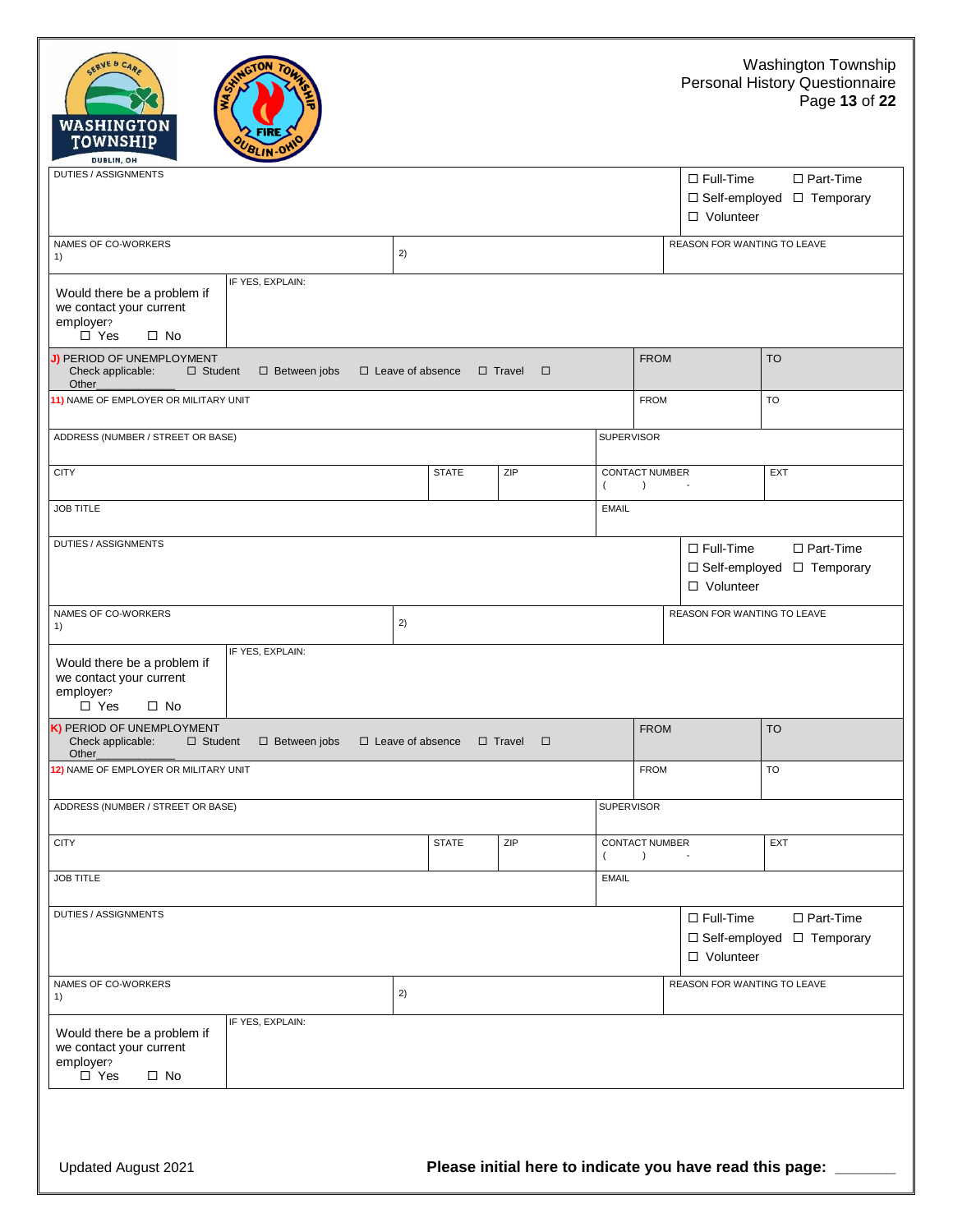



| DUTIES / ASSIGNMENTS                                                                                                                                                                |                         |              |                         |                   |                                           | $\Box$ Full-Time<br>□ Volunteer | $\Box$ Part-Time<br>□ Self-employed □ Temporary |  |
|-------------------------------------------------------------------------------------------------------------------------------------------------------------------------------------|-------------------------|--------------|-------------------------|-------------------|-------------------------------------------|---------------------------------|-------------------------------------------------|--|
| NAMES OF CO-WORKERS<br>1)                                                                                                                                                           | 2)                      |              |                         |                   |                                           |                                 | REASON FOR WANTING TO LEAVE                     |  |
| IF YES, EXPLAIN:<br>Would there be a problem if<br>we contact your current<br>employer?<br>$\square$ Yes<br>$\square$ No                                                            |                         |              |                         |                   |                                           |                                 |                                                 |  |
| J) PERIOD OF UNEMPLOYMENT<br><b>FROM</b><br><b>TO</b><br>Check applicable:<br>$\Box$ Student<br>$\Box$ Between jobs<br>$\Box$ Leave of absence<br>$\Box$ Travel<br>$\Box$<br>Other_ |                         |              |                         |                   |                                           |                                 |                                                 |  |
| 11) NAME OF EMPLOYER OR MILITARY UNIT                                                                                                                                               |                         |              |                         |                   | <b>FROM</b>                               |                                 | <b>TO</b>                                       |  |
| ADDRESS (NUMBER / STREET OR BASE)                                                                                                                                                   |                         |              |                         | <b>SUPERVISOR</b> |                                           |                                 |                                                 |  |
| <b>CITY</b>                                                                                                                                                                         |                         | <b>STATE</b> | ZIP                     | $\left($          | <b>CONTACT NUMBER</b><br>$\left( \right)$ |                                 | EXT                                             |  |
| <b>JOB TITLE</b>                                                                                                                                                                    |                         |              |                         | <b>EMAIL</b>      |                                           |                                 |                                                 |  |
| DUTIES / ASSIGNMENTS<br>$\Box$ Full-Time<br>□ Part-Time<br>□ Self-employed □ Temporary<br>□ Volunteer                                                                               |                         |              |                         |                   |                                           |                                 |                                                 |  |
| NAMES OF CO-WORKERS<br>1)                                                                                                                                                           | 2)                      |              |                         |                   |                                           | REASON FOR WANTING TO LEAVE     |                                                 |  |
| IF YES, EXPLAIN:<br>Would there be a problem if<br>we contact your current<br>employer?<br>$\Box$ Yes<br>$\square$ No                                                               |                         |              |                         |                   |                                           |                                 |                                                 |  |
| K) PERIOD OF UNEMPLOYMENT<br>Check applicable:<br>$\Box$ Student<br>$\square$ Between jobs<br>Other_                                                                                | $\Box$ Leave of absence |              | $\Box$ Travel<br>$\Box$ |                   | <b>FROM</b>                               |                                 | <b>TO</b>                                       |  |
| 12) NAME OF EMPLOYER OR MILITARY UNIT                                                                                                                                               |                         |              |                         |                   | <b>FROM</b>                               |                                 | <b>TO</b>                                       |  |
| ADDRESS (NUMBER / STREET OR BASE)                                                                                                                                                   |                         |              |                         | <b>SUPERVISOR</b> |                                           |                                 |                                                 |  |
| <b>CITY</b>                                                                                                                                                                         |                         | <b>STATE</b> | ZIP                     | $\overline{ }$    | <b>CONTACT NUMBER</b><br>$\left( \right)$ | $\overline{\phantom{a}}$        | EXT                                             |  |
| <b>JOB TITLE</b>                                                                                                                                                                    |                         |              |                         | <b>EMAIL</b>      |                                           |                                 |                                                 |  |
| <b>DUTIES / ASSIGNMENTS</b><br>$\Box$ Full-Time<br>□ Part-Time<br>□ Self-employed □ Temporary<br>□ Volunteer                                                                        |                         |              |                         |                   |                                           |                                 |                                                 |  |
| NAMES OF CO-WORKERS<br>REASON FOR WANTING TO LEAVE<br>2)<br>1)                                                                                                                      |                         |              |                         |                   |                                           |                                 |                                                 |  |
| IF YES, EXPLAIN:<br>Would there be a problem if<br>we contact your current<br>employer?<br>$\square$ Yes<br>$\square$ No                                                            |                         |              |                         |                   |                                           |                                 |                                                 |  |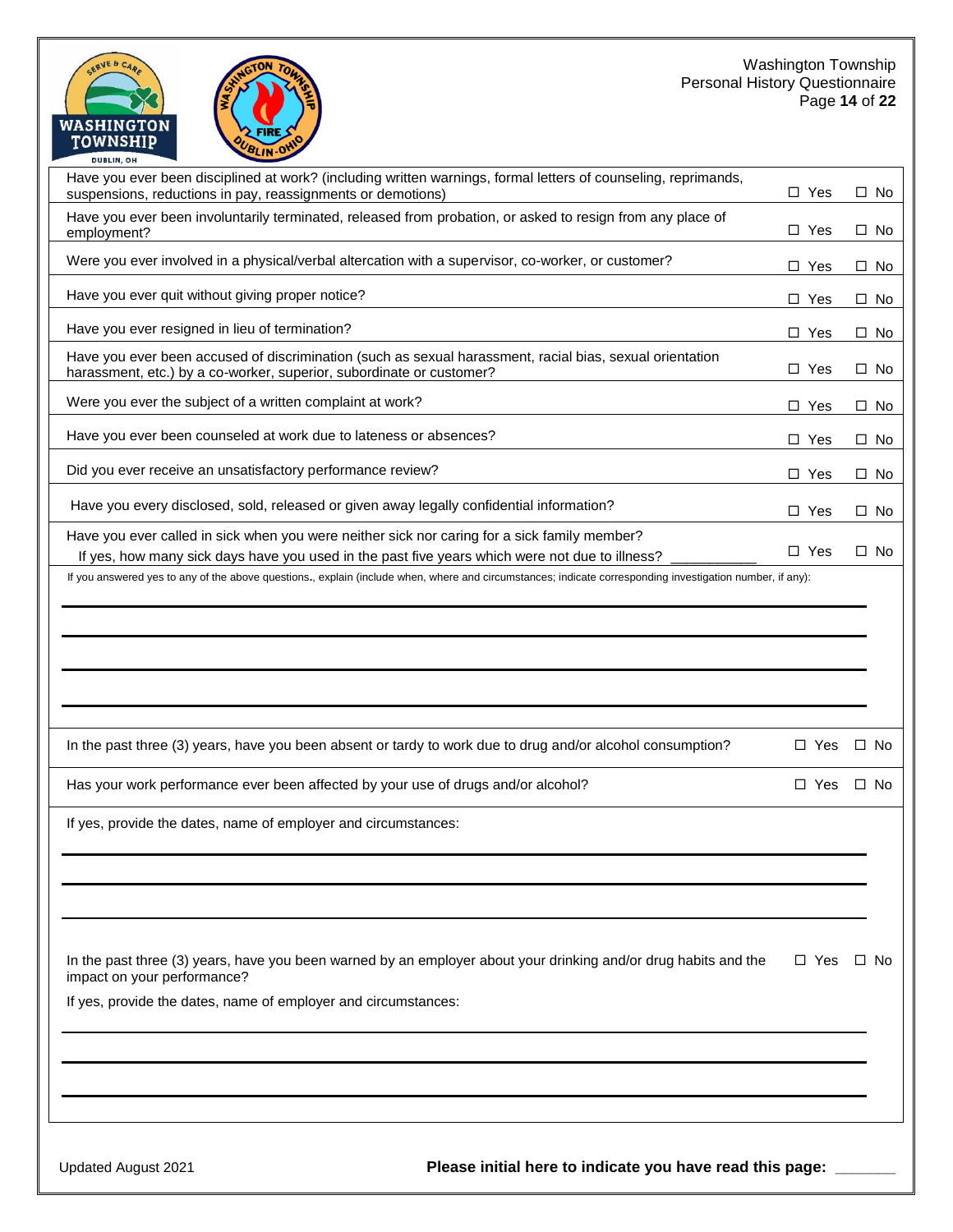#### Washington Township Personal History Questionnaire Page **14** of **22**

| <b>FIRE</b><br>TOWNSHIP<br>BLIN-O<br><b>DUBLIN, OH</b>                                                                                                                                                                                                                                                                                                      |               |           |
|-------------------------------------------------------------------------------------------------------------------------------------------------------------------------------------------------------------------------------------------------------------------------------------------------------------------------------------------------------------|---------------|-----------|
| Have you ever been disciplined at work? (including written warnings, formal letters of counseling, reprimands,<br>suspensions, reductions in pay, reassignments or demotions)                                                                                                                                                                               | $\Box$ Yes    | $\Box$ No |
| Have you ever been involuntarily terminated, released from probation, or asked to resign from any place of<br>employment?                                                                                                                                                                                                                                   | $\Box$ Yes    | $\Box$ No |
| Were you ever involved in a physical/verbal altercation with a supervisor, co-worker, or customer?                                                                                                                                                                                                                                                          | $\Box$ Yes    | $\Box$ No |
| Have you ever quit without giving proper notice?                                                                                                                                                                                                                                                                                                            | $\Box$ Yes    | $\Box$ No |
| Have you ever resigned in lieu of termination?                                                                                                                                                                                                                                                                                                              | $\Box$ Yes    | $\Box$ No |
| Have you ever been accused of discrimination (such as sexual harassment, racial bias, sexual orientation<br>harassment, etc.) by a co-worker, superior, subordinate or customer?                                                                                                                                                                            | $\Box$ Yes    | $\Box$ No |
| Were you ever the subject of a written complaint at work?                                                                                                                                                                                                                                                                                                   | □<br>Yes      | $\Box$ No |
| Have you ever been counseled at work due to lateness or absences?                                                                                                                                                                                                                                                                                           | □ Yes         | $\Box$ No |
| Did you ever receive an unsatisfactory performance review?                                                                                                                                                                                                                                                                                                  | $\Box$ Yes    | $\Box$ No |
| Have you every disclosed, sold, released or given away legally confidential information?                                                                                                                                                                                                                                                                    | $\Box$ Yes    | $\Box$ No |
| Have you ever called in sick when you were neither sick nor caring for a sick family member?<br>If yes, how many sick days have you used in the past five years which were not due to illness?<br>If you answered yes to any of the above questions., explain (include when, where and circumstances; indicate corresponding investigation number, if any): | $\Box$ Yes    | $\Box$ No |
|                                                                                                                                                                                                                                                                                                                                                             |               |           |
| In the past three (3) years, have you been absent or tardy to work due to drug and/or alcohol consumption?                                                                                                                                                                                                                                                  |               |           |
|                                                                                                                                                                                                                                                                                                                                                             | $\Box$ Yes    | $\Box$ No |
| Has your work performance ever been affected by your use of drugs and/or alcohol?                                                                                                                                                                                                                                                                           | $\square$ Yes | $\Box$ No |
| If yes, provide the dates, name of employer and circumstances:                                                                                                                                                                                                                                                                                              |               |           |
|                                                                                                                                                                                                                                                                                                                                                             |               |           |
| In the past three (3) years, have you been warned by an employer about your drinking and/or drug habits and the<br>impact on your performance?                                                                                                                                                                                                              | □ Yes         | ⊟ No      |
| If yes, provide the dates, name of employer and circumstances:                                                                                                                                                                                                                                                                                              |               |           |
|                                                                                                                                                                                                                                                                                                                                                             |               |           |
|                                                                                                                                                                                                                                                                                                                                                             |               |           |

GERVE & CAR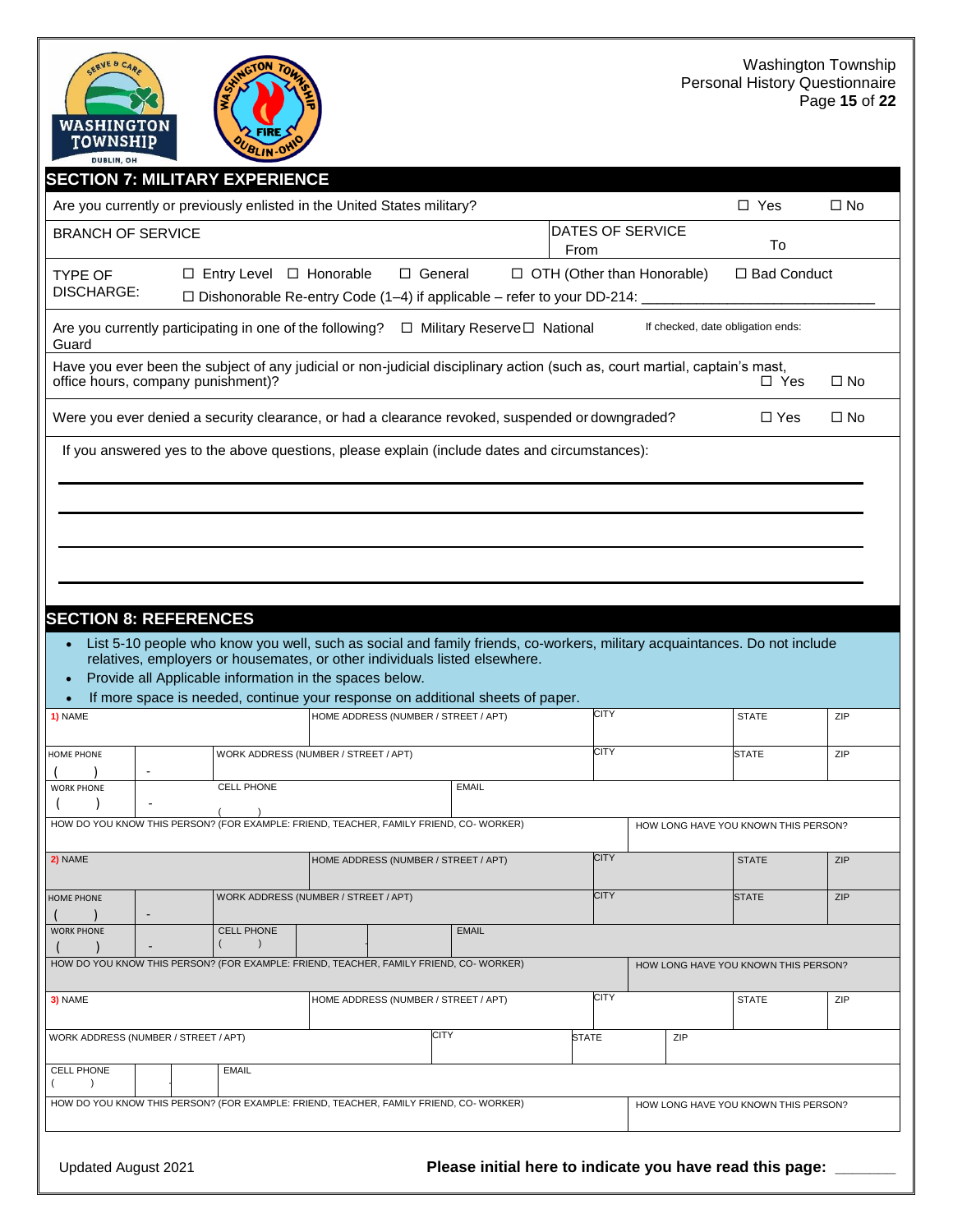

| <b>SECTION 7: MILITARY EXPERIENCE</b>                                                                                                                             |                                                                                                                                                                                         |                                                                                                                                                                                                         |                              |                          |     |                                      |              |
|-------------------------------------------------------------------------------------------------------------------------------------------------------------------|-----------------------------------------------------------------------------------------------------------------------------------------------------------------------------------------|---------------------------------------------------------------------------------------------------------------------------------------------------------------------------------------------------------|------------------------------|--------------------------|-----|--------------------------------------|--------------|
| Are you currently or previously enlisted in the United States military?                                                                                           |                                                                                                                                                                                         |                                                                                                                                                                                                         |                              |                          |     | $\Box$ Yes                           | $\square$ No |
| <b>BRANCH OF SERVICE</b>                                                                                                                                          |                                                                                                                                                                                         |                                                                                                                                                                                                         |                              | DATES OF SERVICE<br>From |     | To                                   |              |
| <b>TYPE OF</b><br>DISCHARGE:                                                                                                                                      | □ General<br>$\Box$ OTH (Other than Honorable)<br>□ Bad Conduct<br>$\Box$ Entry Level $\Box$ Honorable<br>$\Box$ Dishonorable Re-entry Code (1-4) if applicable - refer to your DD-214: |                                                                                                                                                                                                         |                              |                          |     |                                      |              |
| Are you currently participating in one of the following?<br>Guard                                                                                                 |                                                                                                                                                                                         |                                                                                                                                                                                                         | □ Military Reserve□ National |                          |     | If checked, date obligation ends:    |              |
| Have you ever been the subject of any judicial or non-judicial disciplinary action (such as, court martial, captain's mast,<br>office hours, company punishment)? |                                                                                                                                                                                         |                                                                                                                                                                                                         |                              |                          |     | □ Yes                                | $\Box$ No    |
| Were you ever denied a security clearance, or had a clearance revoked, suspended or downgraded?                                                                   |                                                                                                                                                                                         |                                                                                                                                                                                                         |                              |                          |     | $\Box$ Yes                           | □ No         |
|                                                                                                                                                                   |                                                                                                                                                                                         | If you answered yes to the above questions, please explain (include dates and circumstances):                                                                                                           |                              |                          |     |                                      |              |
|                                                                                                                                                                   |                                                                                                                                                                                         |                                                                                                                                                                                                         |                              |                          |     |                                      |              |
|                                                                                                                                                                   |                                                                                                                                                                                         |                                                                                                                                                                                                         |                              |                          |     |                                      |              |
|                                                                                                                                                                   |                                                                                                                                                                                         |                                                                                                                                                                                                         |                              |                          |     |                                      |              |
|                                                                                                                                                                   |                                                                                                                                                                                         |                                                                                                                                                                                                         |                              |                          |     |                                      |              |
|                                                                                                                                                                   |                                                                                                                                                                                         |                                                                                                                                                                                                         |                              |                          |     |                                      |              |
| <b>SECTION 8: REFERENCES</b>                                                                                                                                      |                                                                                                                                                                                         |                                                                                                                                                                                                         |                              |                          |     |                                      |              |
|                                                                                                                                                                   |                                                                                                                                                                                         | List 5-10 people who know you well, such as social and family friends, co-workers, military acquaintances. Do not include<br>relatives, employers or housemates, or other individuals listed elsewhere. |                              |                          |     |                                      |              |
|                                                                                                                                                                   |                                                                                                                                                                                         | Provide all Applicable information in the spaces below.                                                                                                                                                 |                              |                          |     |                                      |              |
|                                                                                                                                                                   |                                                                                                                                                                                         | If more space is needed, continue your response on additional sheets of paper.                                                                                                                          |                              |                          |     |                                      |              |
| 1) NAME                                                                                                                                                           |                                                                                                                                                                                         | HOME ADDRESS (NUMBER / STREET / APT)                                                                                                                                                                    |                              | CITY                     |     | <b>STATE</b>                         | ZIP          |
| HOME PHONE                                                                                                                                                        |                                                                                                                                                                                         | WORK ADDRESS (NUMBER / STREET / APT)                                                                                                                                                                    |                              | <b>CITY</b>              |     | <b>STATE</b>                         | ZIP          |
| <b>WORK PHONE</b>                                                                                                                                                 | <b>CELL PHONE</b>                                                                                                                                                                       |                                                                                                                                                                                                         | <b>EMAIL</b>                 |                          |     |                                      |              |
| HOW DO YOU KNOW THIS PERSON? (FOR EXAMPLE: FRIEND, TEACHER, FAMILY FRIEND, CO-WORKER)                                                                             |                                                                                                                                                                                         |                                                                                                                                                                                                         |                              |                          |     | HOW LONG HAVE YOU KNOWN THIS PERSON? |              |
|                                                                                                                                                                   |                                                                                                                                                                                         |                                                                                                                                                                                                         |                              |                          |     |                                      |              |
| 2) NAME                                                                                                                                                           |                                                                                                                                                                                         | HOME ADDRESS (NUMBER / STREET / APT)                                                                                                                                                                    |                              | <b>CITY</b>              |     | <b>STATE</b>                         | ZIP          |
| <b>HOME PHONE</b>                                                                                                                                                 |                                                                                                                                                                                         | WORK ADDRESS (NUMBER / STREET / APT)                                                                                                                                                                    |                              | CITY                     |     | <b>STATE</b>                         | <b>ZIP</b>   |
| <b>WORK PHONE</b>                                                                                                                                                 | <b>CELL PHONE</b>                                                                                                                                                                       |                                                                                                                                                                                                         | <b>EMAIL</b>                 |                          |     |                                      |              |
| HOW DO YOU KNOW THIS PERSON? (FOR EXAMPLE: FRIEND, TEACHER, FAMILY FRIEND, CO-WORKER)                                                                             | $\rightarrow$                                                                                                                                                                           |                                                                                                                                                                                                         |                              |                          |     |                                      |              |
|                                                                                                                                                                   |                                                                                                                                                                                         |                                                                                                                                                                                                         |                              |                          |     | HOW LONG HAVE YOU KNOWN THIS PERSON? |              |
| 3) NAME                                                                                                                                                           |                                                                                                                                                                                         | HOME ADDRESS (NUMBER / STREET / APT)                                                                                                                                                                    |                              | CITY                     |     | <b>STATE</b>                         | ZIP          |
| WORK ADDRESS (NUMBER / STREET / APT)                                                                                                                              |                                                                                                                                                                                         | <b>CITY</b>                                                                                                                                                                                             |                              | <b>STATE</b>             | ZIP |                                      |              |
| <b>CELL PHONE</b><br>$\left($                                                                                                                                     | <b>EMAIL</b>                                                                                                                                                                            |                                                                                                                                                                                                         |                              |                          |     |                                      |              |
| HOW DO YOU KNOW THIS PERSON? (FOR EXAMPLE: FRIEND, TEACHER, FAMILY FRIEND, CO-WORKER)                                                                             |                                                                                                                                                                                         |                                                                                                                                                                                                         |                              |                          |     | HOW LONG HAVE YOU KNOWN THIS PERSON? |              |
|                                                                                                                                                                   |                                                                                                                                                                                         |                                                                                                                                                                                                         |                              |                          |     |                                      |              |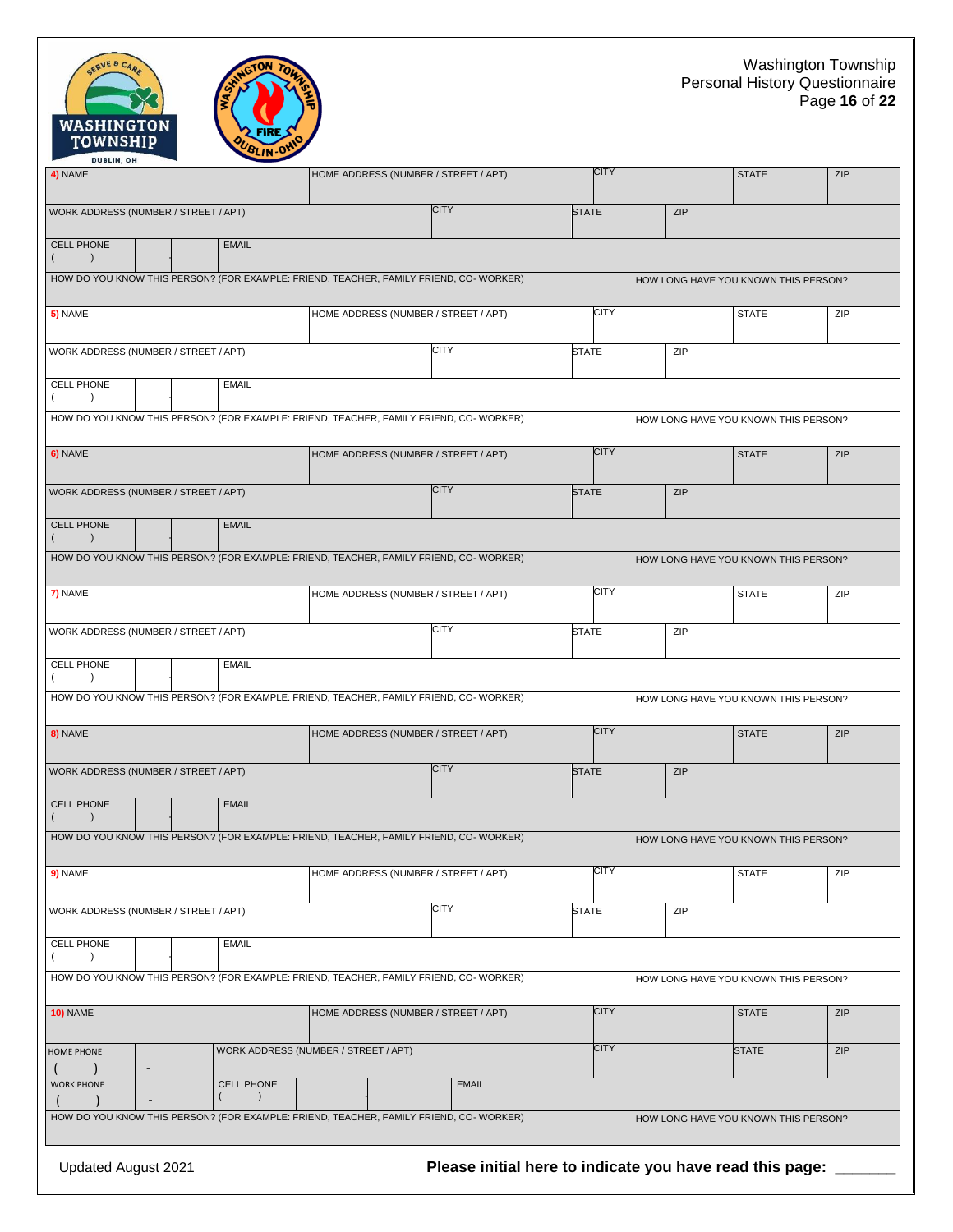



| 4) NAME                                                                                                                        |                          |  |                                            | HOME ADDRESS (NUMBER / STREET / APT)                                                   |              |              | <b>CITY</b> |     | <b>STATE</b>                         | ZIP        |
|--------------------------------------------------------------------------------------------------------------------------------|--------------------------|--|--------------------------------------------|----------------------------------------------------------------------------------------|--------------|--------------|-------------|-----|--------------------------------------|------------|
| WORK ADDRESS (NUMBER / STREET / APT)                                                                                           |                          |  |                                            |                                                                                        | <b>CITY</b>  | <b>STATE</b> |             | ZIP |                                      |            |
| <b>CELL PHONE</b>                                                                                                              |                          |  | <b>EMAIL</b>                               |                                                                                        |              |              |             |     |                                      |            |
|                                                                                                                                |                          |  |                                            | HOW DO YOU KNOW THIS PERSON? (FOR EXAMPLE: FRIEND, TEACHER, FAMILY FRIEND, CO- WORKER) |              |              |             |     | HOW LONG HAVE YOU KNOWN THIS PERSON? |            |
| 5) NAME                                                                                                                        |                          |  |                                            | HOME ADDRESS (NUMBER / STREET / APT)                                                   |              |              | <b>CITY</b> |     | <b>STATE</b>                         | ZIP        |
| WORK ADDRESS (NUMBER / STREET / APT)                                                                                           |                          |  |                                            |                                                                                        | CITY         | <b>STATE</b> |             | ZIP |                                      |            |
| CELL PHONE<br>$\rightarrow$                                                                                                    |                          |  | <b>EMAIL</b>                               |                                                                                        |              |              |             |     |                                      |            |
|                                                                                                                                |                          |  |                                            | HOW DO YOU KNOW THIS PERSON? (FOR EXAMPLE: FRIEND, TEACHER, FAMILY FRIEND, CO- WORKER) |              |              |             |     | HOW LONG HAVE YOU KNOWN THIS PERSON? |            |
| 6) NAME                                                                                                                        |                          |  |                                            | HOME ADDRESS (NUMBER / STREET / APT)                                                   |              |              | <b>CITY</b> |     | <b>STATE</b>                         | <b>ZIP</b> |
| WORK ADDRESS (NUMBER / STREET / APT)                                                                                           |                          |  |                                            |                                                                                        | <b>CITY</b>  | <b>STATE</b> |             | ZIP |                                      |            |
| <b>CELL PHONE</b>                                                                                                              |                          |  | <b>EMAIL</b>                               |                                                                                        |              |              |             |     |                                      |            |
|                                                                                                                                |                          |  |                                            | HOW DO YOU KNOW THIS PERSON? (FOR EXAMPLE: FRIEND, TEACHER, FAMILY FRIEND, CO- WORKER) |              |              |             |     | HOW LONG HAVE YOU KNOWN THIS PERSON? |            |
| 7) NAME                                                                                                                        |                          |  |                                            | HOME ADDRESS (NUMBER / STREET / APT)                                                   |              |              | CITY        |     | <b>STATE</b>                         | ZIP        |
| WORK ADDRESS (NUMBER / STREET / APT)                                                                                           |                          |  |                                            |                                                                                        | <b>CITY</b>  | <b>STATE</b> |             | ZIP |                                      |            |
| CELL PHONE<br>$\lambda$                                                                                                        |                          |  | <b>EMAIL</b>                               |                                                                                        |              |              |             |     |                                      |            |
|                                                                                                                                |                          |  |                                            | HOW DO YOU KNOW THIS PERSON? (FOR EXAMPLE: FRIEND, TEACHER, FAMILY FRIEND, CO- WORKER) |              |              |             |     | HOW LONG HAVE YOU KNOWN THIS PERSON? |            |
| 8) NAME                                                                                                                        |                          |  |                                            | HOME ADDRESS (NUMBER / STREET / APT)                                                   |              |              | <b>CITY</b> |     | <b>STATE</b>                         | ZIP        |
| WORK ADDRESS (NUMBER / STREET / APT)                                                                                           |                          |  |                                            |                                                                                        | <b>CITY</b>  | <b>STATE</b> |             | ZIP |                                      |            |
| <b>CELL PHONE</b>                                                                                                              |                          |  | <b>EMAIL</b>                               |                                                                                        |              |              |             |     |                                      |            |
|                                                                                                                                |                          |  |                                            | HOW DO YOU KNOW THIS PERSON? (FOR EXAMPLE: FRIEND, TEACHER, FAMILY FRIEND, CO- WORKER) |              |              |             |     | HOW LONG HAVE YOU KNOWN THIS PERSON? |            |
| 9) NAME                                                                                                                        |                          |  |                                            | HOME ADDRESS (NUMBER / STREET / APT)                                                   |              |              | <b>CITY</b> |     | <b>STATE</b>                         | ZIP        |
| WORK ADDRESS (NUMBER / STREET / APT)                                                                                           |                          |  |                                            |                                                                                        | <b>CITY</b>  | <b>STATE</b> |             | ZIP |                                      |            |
| CELL PHONE                                                                                                                     |                          |  | <b>EMAIL</b>                               |                                                                                        |              |              |             |     |                                      |            |
| HOW DO YOU KNOW THIS PERSON? (FOR EXAMPLE: FRIEND, TEACHER, FAMILY FRIEND, CO- WORKER)<br>HOW LONG HAVE YOU KNOWN THIS PERSON? |                          |  |                                            |                                                                                        |              |              |             |     |                                      |            |
| <b>10) NAME</b>                                                                                                                |                          |  |                                            | HOME ADDRESS (NUMBER / STREET / APT)                                                   |              |              | <b>CITY</b> |     | <b>STATE</b>                         | ZIP        |
| <b>HOME PHONE</b>                                                                                                              | $\overline{\phantom{a}}$ |  |                                            | WORK ADDRESS (NUMBER / STREET / APT)                                                   |              |              | <b>CITY</b> |     | <b>STATE</b>                         | ZIP        |
| <b>WORK PHONE</b>                                                                                                              |                          |  | <b>CELL PHONE</b><br>$\left($<br>$\lambda$ |                                                                                        | <b>EMAIL</b> |              |             |     |                                      |            |
|                                                                                                                                |                          |  |                                            | HOW DO YOU KNOW THIS PERSON? (FOR EXAMPLE: FRIEND, TEACHER, FAMILY FRIEND, CO- WORKER) |              |              |             |     | HOW LONG HAVE YOU KNOWN THIS PERSON? |            |
|                                                                                                                                |                          |  |                                            |                                                                                        |              |              |             |     |                                      |            |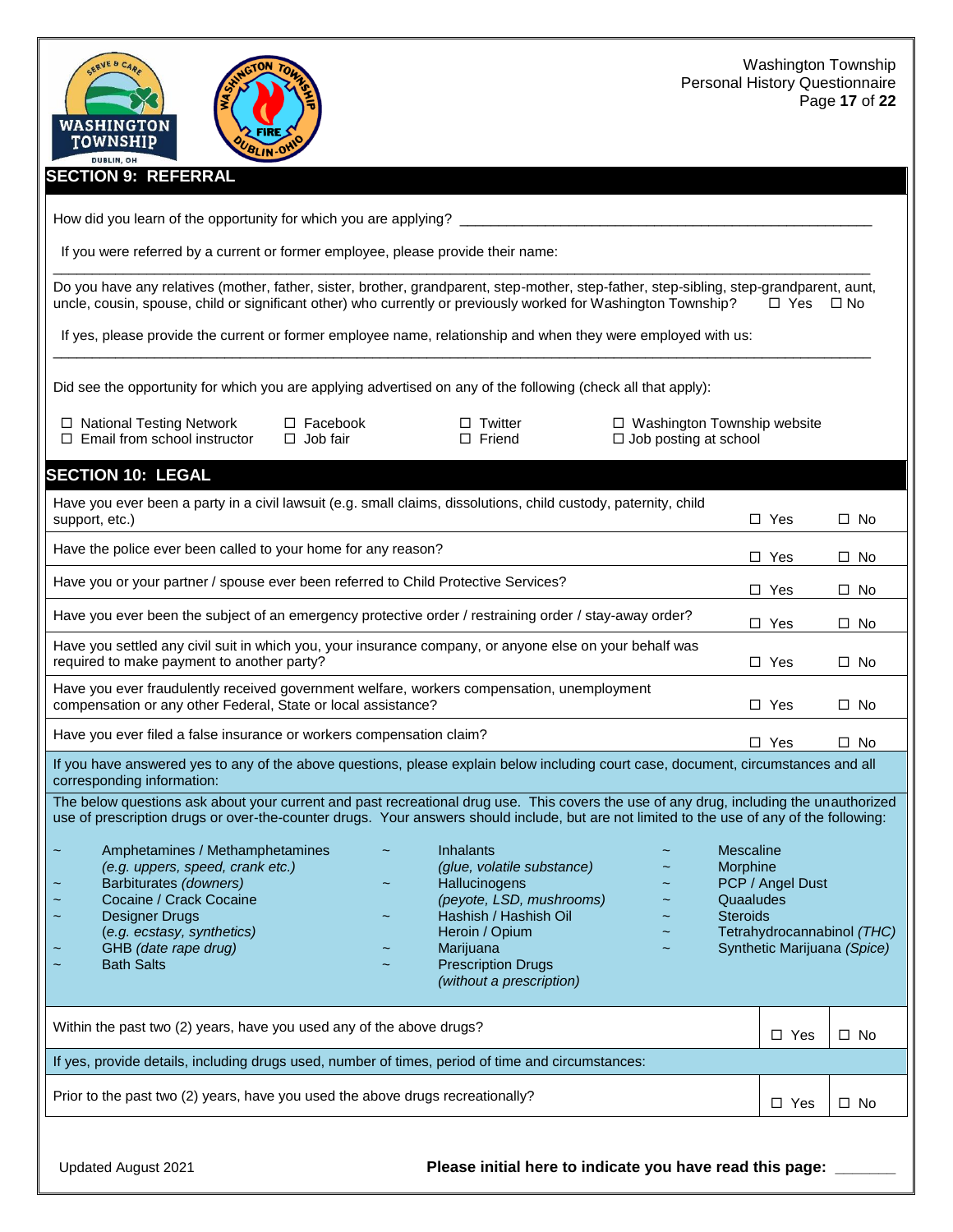#### **SECTION 9: REFERRAL**

WASHINGTON TOWNSHIP

DUBLIN, OH

How did you learn of the opportunity for which you are applying? \_

BLIN-O

If you were referred by a current or former employee, please provide their name:

\_\_\_\_\_\_\_\_\_\_\_\_\_\_\_\_\_\_\_\_\_\_\_\_\_\_\_\_\_\_\_\_\_\_\_\_\_\_\_\_\_\_\_\_\_\_\_\_\_\_\_\_\_\_\_\_\_\_\_\_\_\_\_\_\_\_\_\_\_\_\_\_\_\_\_\_\_\_\_\_\_\_\_\_\_\_\_\_\_\_\_\_\_\_\_\_\_\_\_\_\_\_\_\_\_ Do you have any relatives (mother, father, sister, brother, grandparent, step-mother, step-father, step-sibling, step-grandparent, aunt, uncle, cousin, spouse, child or significant other) who currently or previously worked for Washington Township?  $\Box$  Yes  $\Box$  No

\_\_\_\_\_\_\_\_\_\_\_\_\_\_\_\_\_\_\_\_\_\_\_\_\_\_\_\_\_\_\_\_\_\_\_\_\_\_\_\_\_\_\_\_\_\_\_\_\_\_\_\_\_\_\_\_\_\_\_\_\_\_\_\_\_\_\_\_\_\_\_\_\_\_\_\_\_\_\_\_\_\_\_\_\_\_\_\_\_\_\_\_\_\_\_\_\_\_\_\_\_\_\_\_\_

If yes, please provide the current or former employee name, relationship and when they were employed with us:

Did see the opportunity for which you are applying advertised on any of the following (check all that apply):

- $\square$  Email from school instructor  $\square$  Job fair  $\square$  Triend  $\square$  Job posting at school
	-

National Testing Network Facebook Twitter Washington Township website

#### **SECTION 10: LEGAL**

| Have you ever been a party in a civil lawsuit (e.g. small claims, dissolutions, child custody, paternity, child<br>support, etc.)                                                                                                                                                                                                                                                                                                                                                                                                            |                                                                                                                                                                                                              | $\Box$ Yes                                            | $\Box$ No                                                                     |              |
|----------------------------------------------------------------------------------------------------------------------------------------------------------------------------------------------------------------------------------------------------------------------------------------------------------------------------------------------------------------------------------------------------------------------------------------------------------------------------------------------------------------------------------------------|--------------------------------------------------------------------------------------------------------------------------------------------------------------------------------------------------------------|-------------------------------------------------------|-------------------------------------------------------------------------------|--------------|
| Have the police ever been called to your home for any reason?                                                                                                                                                                                                                                                                                                                                                                                                                                                                                |                                                                                                                                                                                                              | $\Box$ Yes                                            | $\square$ No                                                                  |              |
| Have you or your partner / spouse ever been referred to Child Protective Services?                                                                                                                                                                                                                                                                                                                                                                                                                                                           |                                                                                                                                                                                                              |                                                       | $\Box$ Yes                                                                    | $\Box$ No    |
| Have you ever been the subject of an emergency protective order / restraining order / stay-away order?                                                                                                                                                                                                                                                                                                                                                                                                                                       |                                                                                                                                                                                                              |                                                       | $\Box$ Yes                                                                    | $\Box$ No    |
| Have you settled any civil suit in which you, your insurance company, or anyone else on your behalf was<br>required to make payment to another party?                                                                                                                                                                                                                                                                                                                                                                                        |                                                                                                                                                                                                              |                                                       | $\Box$ Yes                                                                    | $\square$ No |
| Have you ever fraudulently received government welfare, workers compensation, unemployment<br>compensation or any other Federal, State or local assistance?                                                                                                                                                                                                                                                                                                                                                                                  |                                                                                                                                                                                                              | $\Box$ Yes                                            | $\Box$ No                                                                     |              |
| Have you ever filed a false insurance or workers compensation claim?                                                                                                                                                                                                                                                                                                                                                                                                                                                                         |                                                                                                                                                                                                              |                                                       | $\Box$ Yes                                                                    | $\Box$ No    |
| If you have answered yes to any of the above questions, please explain below including court case, document, circumstances and all<br>corresponding information:                                                                                                                                                                                                                                                                                                                                                                             |                                                                                                                                                                                                              |                                                       |                                                                               |              |
| The below questions ask about your current and past recreational drug use. This covers the use of any drug, including the unauthorized<br>use of prescription drugs or over-the-counter drugs. Your answers should include, but are not limited to the use of any of the following:<br>Amphetamines / Methamphetamines<br>(e.g. uppers, speed, crank etc.)<br>Barbiturates (downers)<br>Cocaine / Crack Cocaine<br><b>Designer Drugs</b><br>$\tilde{\phantom{a}}$<br>(e.g. ecstasy, synthetics)<br>GHB (date rape drug)<br><b>Bath Salts</b> | <b>Inhalants</b><br>(glue, volatile substance)<br>Hallucinogens<br>(peyote, LSD, mushrooms)<br>Hashish / Hashish Oil<br>Heroin / Opium<br>Marijuana<br><b>Prescription Drugs</b><br>(without a prescription) | Mescaline<br>Morphine<br>Quaaludes<br><b>Steroids</b> | PCP / Angel Dust<br>Tetrahydrocannabinol (THC)<br>Synthetic Marijuana (Spice) |              |
|                                                                                                                                                                                                                                                                                                                                                                                                                                                                                                                                              |                                                                                                                                                                                                              |                                                       |                                                                               |              |
| Within the past two (2) years, have you used any of the above drugs?                                                                                                                                                                                                                                                                                                                                                                                                                                                                         |                                                                                                                                                                                                              | $\Box$ Yes                                            | $\Box$ No                                                                     |              |
| If yes, provide details, including drugs used, number of times, period of time and circumstances:                                                                                                                                                                                                                                                                                                                                                                                                                                            |                                                                                                                                                                                                              |                                                       |                                                                               |              |
| Prior to the past two (2) years, have you used the above drugs recreationally?                                                                                                                                                                                                                                                                                                                                                                                                                                                               | $\Box$ Yes                                                                                                                                                                                                   | $\Box$ No                                             |                                                                               |              |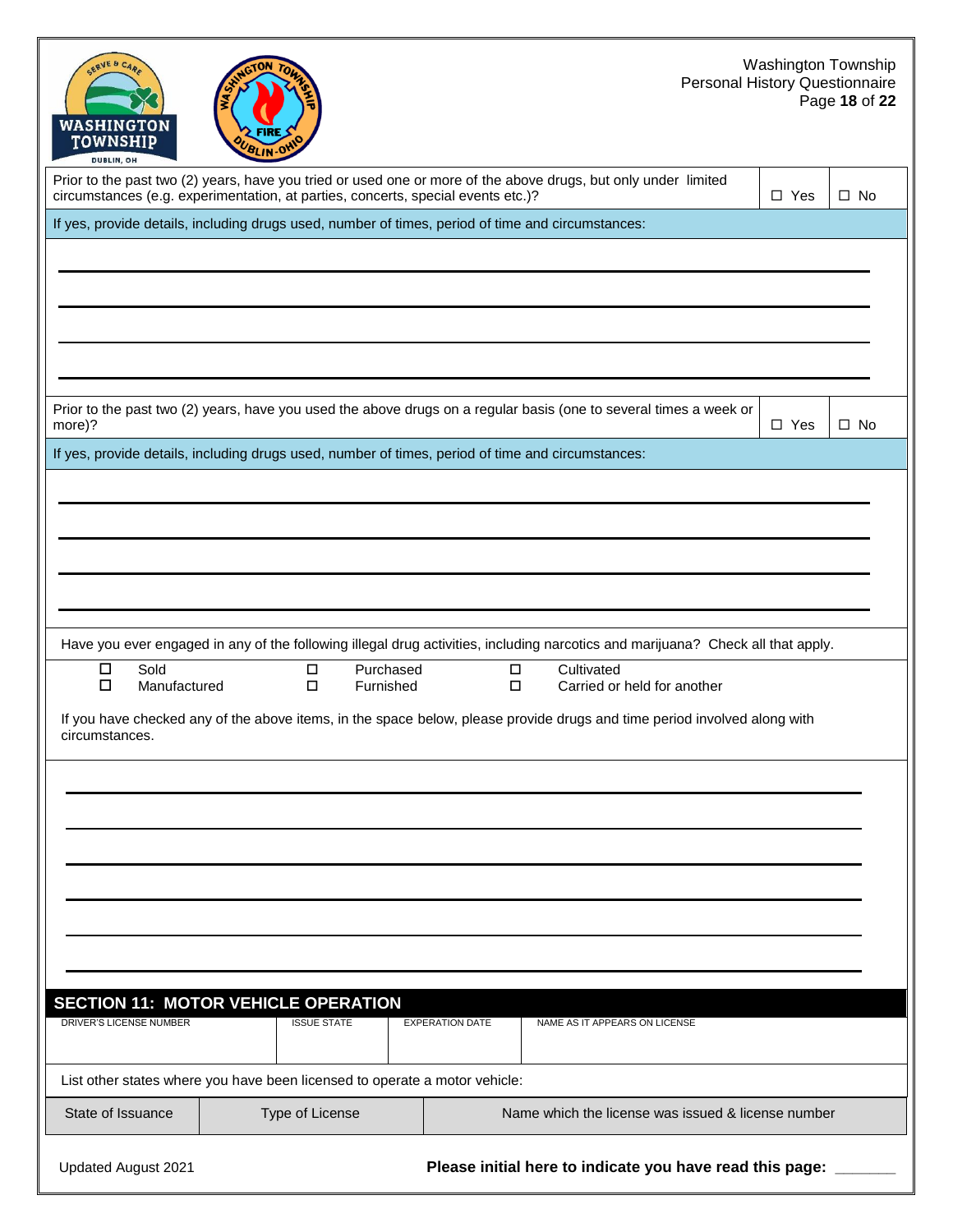| <b>SERVE &amp; CARA</b><br>WASHINGTON<br>TOWNSHIP<br><b>DUBLIN, OH</b> | BLIN.OV                                                                                                                                                                                            |                        | Personal History Questionnaire                           | <b>Washington Township</b> | Page 18 of 22 |
|------------------------------------------------------------------------|----------------------------------------------------------------------------------------------------------------------------------------------------------------------------------------------------|------------------------|----------------------------------------------------------|----------------------------|---------------|
|                                                                        | Prior to the past two (2) years, have you tried or used one or more of the above drugs, but only under limited<br>circumstances (e.g. experimentation, at parties, concerts, special events etc.)? |                        |                                                          | $\square$ Yes              | $\square$ No  |
|                                                                        | If yes, provide details, including drugs used, number of times, period of time and circumstances:                                                                                                  |                        |                                                          |                            |               |
|                                                                        |                                                                                                                                                                                                    |                        |                                                          |                            |               |
| more)?                                                                 | Prior to the past two (2) years, have you used the above drugs on a regular basis (one to several times a week or                                                                                  |                        |                                                          | $\Box$ Yes                 | $\square$ No  |
|                                                                        | If yes, provide details, including drugs used, number of times, period of time and circumstances:                                                                                                  |                        |                                                          |                            |               |
|                                                                        | Have you ever engaged in any of the following illegal drug activities, including narcotics and marijuana? Check all that apply.                                                                    |                        |                                                          |                            |               |
| Sold<br>□<br>$\Box$<br>Manufactured<br>circumstances.                  | Purchased<br>$\Box$<br>$\Box$<br>Furnished<br>If you have checked any of the above items, in the space below, please provide drugs and time period involved along with                             | $\Box$<br>$\Box$       | Cultivated<br>Carried or held for another                |                            |               |
|                                                                        |                                                                                                                                                                                                    |                        |                                                          |                            |               |
| DRIVER'S LICENSE NUMBER                                                | <b>SECTION 11: MOTOR VEHICLE OPERATION</b><br><b>ISSUE STATE</b>                                                                                                                                   | <b>EXPERATION DATE</b> | NAME AS IT APPEARS ON LICENSE                            |                            |               |
| State of Issuance                                                      | List other states where you have been licensed to operate a motor vehicle:<br>Type of License                                                                                                      |                        | Name which the license was issued & license number       |                            |               |
|                                                                        |                                                                                                                                                                                                    |                        |                                                          |                            |               |
| <b>Updated August 2021</b>                                             |                                                                                                                                                                                                    |                        | Please initial here to indicate you have read this page: |                            |               |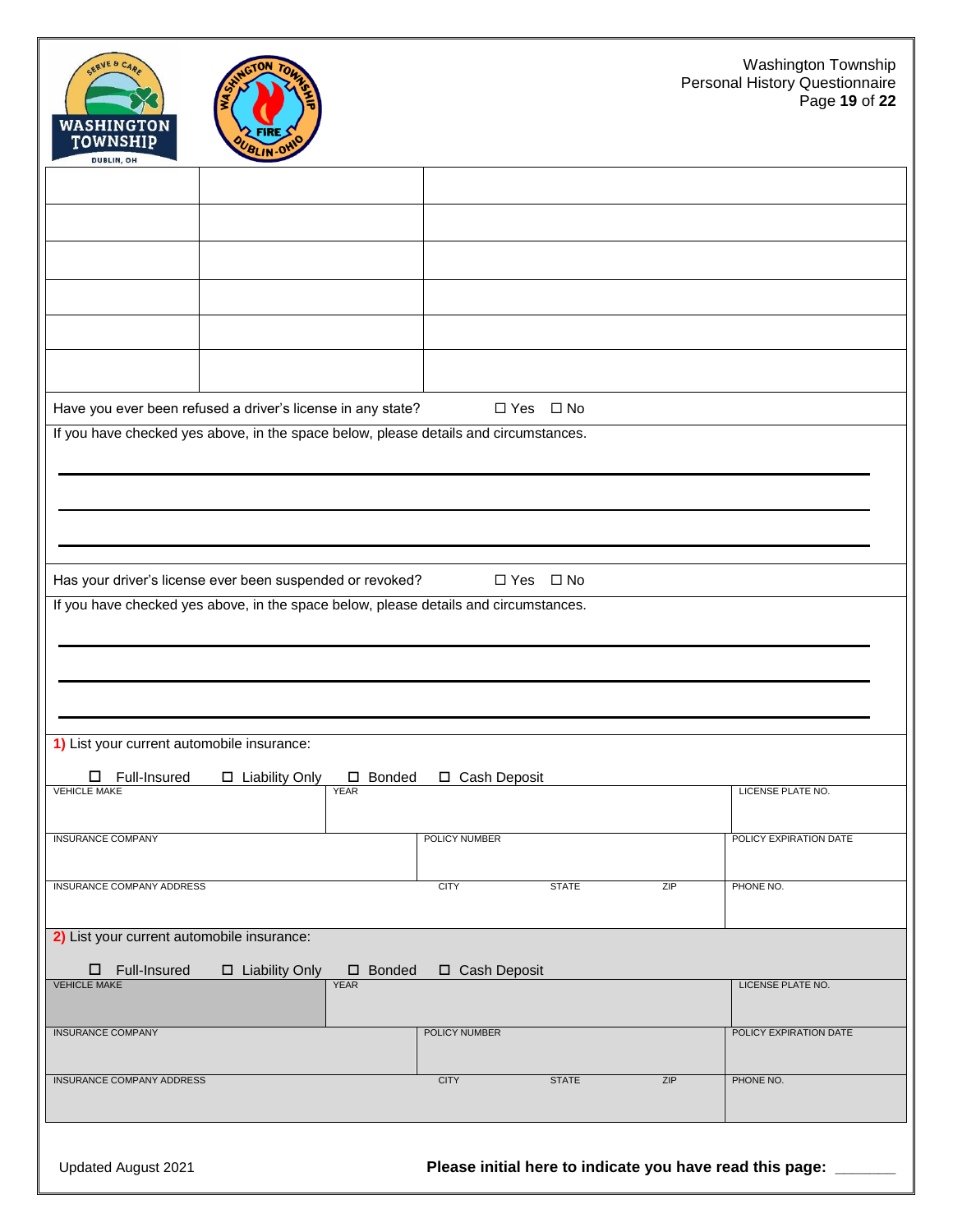| SERVE & CAR<br>WASHINGTON<br><b>TOWNSHIP</b><br>DUBLIN, OH | NGTON<br><b>FIRI</b><br>BLIN-O                                                                                                                    |                |                      |     | Washington Township<br>Personal History Questionnaire<br>Page 19 of 22 |
|------------------------------------------------------------|---------------------------------------------------------------------------------------------------------------------------------------------------|----------------|----------------------|-----|------------------------------------------------------------------------|
|                                                            |                                                                                                                                                   |                |                      |     |                                                                        |
|                                                            |                                                                                                                                                   |                |                      |     |                                                                        |
|                                                            |                                                                                                                                                   |                |                      |     |                                                                        |
|                                                            |                                                                                                                                                   |                |                      |     |                                                                        |
|                                                            |                                                                                                                                                   |                |                      |     |                                                                        |
|                                                            |                                                                                                                                                   |                |                      |     |                                                                        |
|                                                            | Have you ever been refused a driver's license in any state?                                                                                       |                | $\Box$ Yes $\Box$ No |     |                                                                        |
|                                                            | If you have checked yes above, in the space below, please details and circumstances.                                                              |                |                      |     |                                                                        |
|                                                            |                                                                                                                                                   |                |                      |     |                                                                        |
|                                                            |                                                                                                                                                   |                |                      |     |                                                                        |
|                                                            |                                                                                                                                                   |                |                      |     |                                                                        |
|                                                            | Has your driver's license ever been suspended or revoked?<br>If you have checked yes above, in the space below, please details and circumstances. |                | $\Box$ Yes $\Box$ No |     |                                                                        |
|                                                            |                                                                                                                                                   |                |                      |     |                                                                        |
|                                                            |                                                                                                                                                   |                |                      |     |                                                                        |
|                                                            |                                                                                                                                                   |                |                      |     |                                                                        |
| 1) List your current automobile insurance:                 |                                                                                                                                                   |                |                      |     |                                                                        |
| Full-Insured<br>□                                          | $\Box$ Liability Only<br>□ Bonded                                                                                                                 | □ Cash Deposit |                      |     |                                                                        |
| <b>VEHICLE MAKE</b>                                        | <b>YEAR</b>                                                                                                                                       |                |                      |     | LICENSE PLATE NO.                                                      |
| <b>INSURANCE COMPANY</b>                                   |                                                                                                                                                   | POLICY NUMBER  |                      |     | POLICY EXPIRATION DATE                                                 |
| <b>INSURANCE COMPANY ADDRESS</b>                           |                                                                                                                                                   | <b>CITY</b>    | <b>STATE</b>         | ZIP | PHONE NO.                                                              |
|                                                            |                                                                                                                                                   |                |                      |     |                                                                        |
| 2) List your current automobile insurance:                 |                                                                                                                                                   |                |                      |     |                                                                        |
| $\square$ Full-Insured<br><b>VEHICLE MAKE</b>              | $\square$ Liability Only<br>$\square$ Bonded<br><b>YEAR</b>                                                                                       | □ Cash Deposit |                      |     | LICENSE PLATE NO.                                                      |
| <b>INSURANCE COMPANY</b>                                   |                                                                                                                                                   | POLICY NUMBER  |                      |     | POLICY EXPIRATION DATE                                                 |
|                                                            |                                                                                                                                                   |                |                      |     |                                                                        |
| <b>INSURANCE COMPANY ADDRESS</b>                           |                                                                                                                                                   | <b>CITY</b>    | <b>STATE</b>         | ZIP | PHONE NO.                                                              |
|                                                            |                                                                                                                                                   |                |                      |     |                                                                        |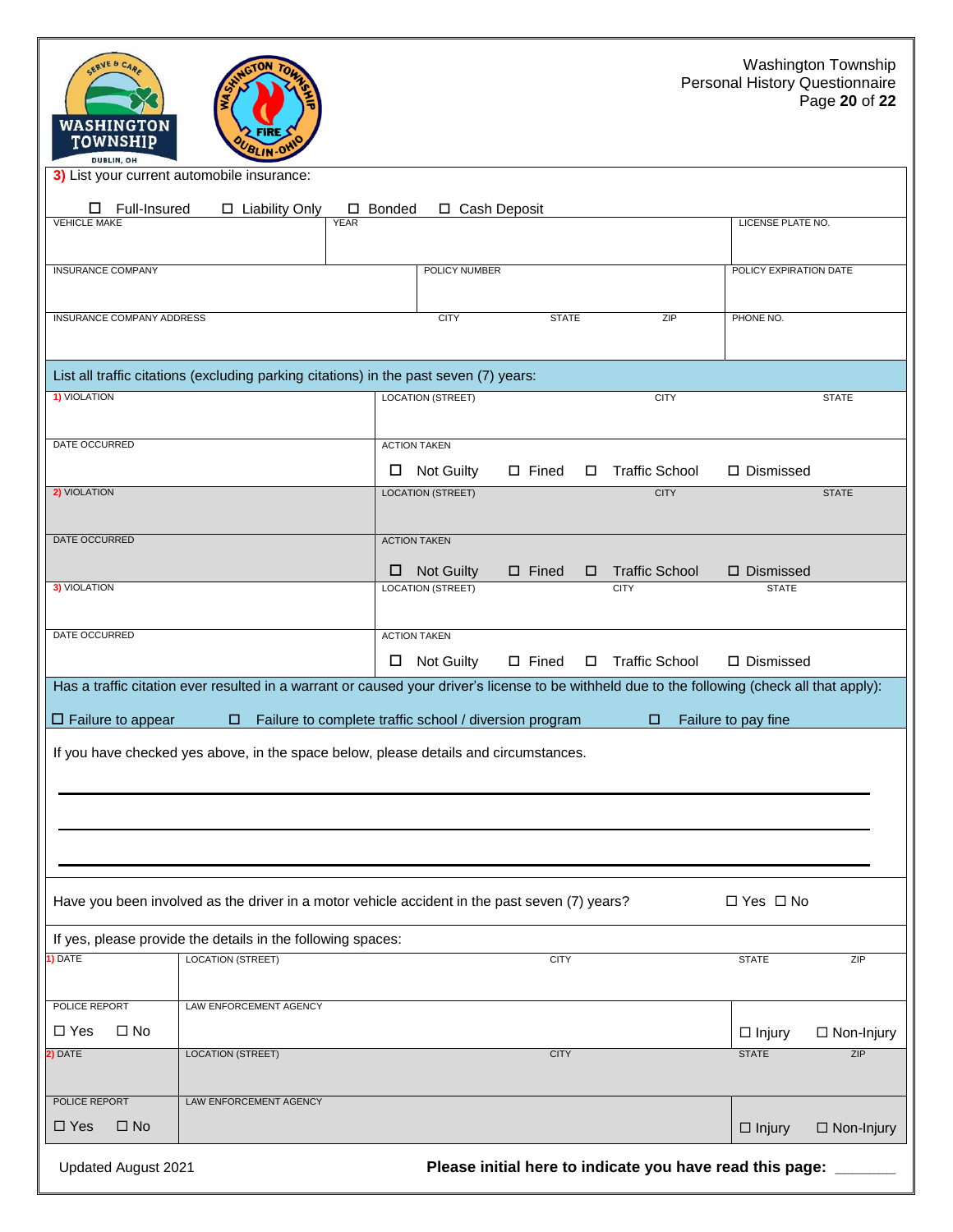| SERVE & CARE<br><b>AGTON</b><br>WASHINGTON<br>FIRE<br><b>TOWNSHIP</b><br>BLIN.OV<br><b>DUBLIN, OH</b>                                         |                                                        |                 |        |                                                          |                               | Washington Township<br>Personal History Questionnaire<br>Page 20 of 22 |
|-----------------------------------------------------------------------------------------------------------------------------------------------|--------------------------------------------------------|-----------------|--------|----------------------------------------------------------|-------------------------------|------------------------------------------------------------------------|
| 3) List your current automobile insurance:                                                                                                    |                                                        |                 |        |                                                          |                               |                                                                        |
| Full-Insured<br>□ Liability Only<br>ப                                                                                                         | $\square$ Bonded                                       | □ Cash Deposit  |        |                                                          |                               |                                                                        |
| <b>VEHICLE MAKE</b><br><b>YEAR</b>                                                                                                            |                                                        |                 |        |                                                          | LICENSE PLATE NO.             |                                                                        |
| <b>INSURANCE COMPANY</b>                                                                                                                      | POLICY NUMBER                                          |                 |        |                                                          | POLICY EXPIRATION DATE        |                                                                        |
|                                                                                                                                               |                                                        |                 |        |                                                          |                               |                                                                        |
| <b>INSURANCE COMPANY ADDRESS</b>                                                                                                              | <b>CITY</b>                                            | <b>STATE</b>    |        | ZIP                                                      | PHONE NO.                     |                                                                        |
|                                                                                                                                               |                                                        |                 |        |                                                          |                               |                                                                        |
| List all traffic citations (excluding parking citations) in the past seven (7) years:                                                         |                                                        |                 |        |                                                          |                               |                                                                        |
| 1) VIOLATION                                                                                                                                  | <b>LOCATION (STREET)</b>                               |                 |        | <b>CITY</b>                                              |                               | <b>STATE</b>                                                           |
|                                                                                                                                               |                                                        |                 |        |                                                          |                               |                                                                        |
| DATE OCCURRED                                                                                                                                 | <b>ACTION TAKEN</b>                                    |                 |        |                                                          |                               |                                                                        |
|                                                                                                                                               | <b>Not Guilty</b><br>$\Box$                            | $\square$ Fined | $\Box$ | <b>Traffic School</b>                                    | □ Dismissed                   |                                                                        |
| 2) VIOLATION                                                                                                                                  | <b>LOCATION (STREET)</b>                               |                 |        | <b>CITY</b>                                              |                               | <b>STATE</b>                                                           |
|                                                                                                                                               |                                                        |                 |        |                                                          |                               |                                                                        |
| DATE OCCURRED                                                                                                                                 | <b>ACTION TAKEN</b>                                    |                 |        |                                                          |                               |                                                                        |
|                                                                                                                                               | Not Guilty<br>□                                        | $\square$ Fined | □      | <b>Traffic School</b>                                    | $\square$ Dismissed           |                                                                        |
| <b>3) VIOLATION</b>                                                                                                                           | <b>LOCATION (STREET)</b>                               |                 |        | <b>CITY</b>                                              | <b>STATE</b>                  |                                                                        |
| DATE OCCURRED                                                                                                                                 | <b>ACTION TAKEN</b>                                    |                 |        |                                                          |                               |                                                                        |
|                                                                                                                                               | <b>Not Guilty</b><br>0                                 | $\square$ Fined | $\Box$ | <b>Traffic School</b>                                    | □ Dismissed                   |                                                                        |
| Has a traffic citation ever resulted in a warrant or caused your driver's license to be withheld due to the following (check all that apply): |                                                        |                 |        |                                                          |                               |                                                                        |
|                                                                                                                                               |                                                        |                 |        |                                                          |                               |                                                                        |
| $\Box$ Failure to appear                                                                                                                      | Failure to complete traffic school / diversion program |                 |        | □                                                        | Failure to pay fine           |                                                                        |
| If you have checked yes above, in the space below, please details and circumstances.                                                          |                                                        |                 |        |                                                          |                               |                                                                        |
|                                                                                                                                               |                                                        |                 |        |                                                          |                               |                                                                        |
|                                                                                                                                               |                                                        |                 |        |                                                          |                               |                                                                        |
|                                                                                                                                               |                                                        |                 |        |                                                          |                               |                                                                        |
|                                                                                                                                               |                                                        |                 |        |                                                          |                               |                                                                        |
|                                                                                                                                               |                                                        |                 |        |                                                          |                               |                                                                        |
| Have you been involved as the driver in a motor vehicle accident in the past seven (7) years?                                                 |                                                        |                 |        |                                                          | $\Box$ Yes $\Box$ No          |                                                                        |
| If yes, please provide the details in the following spaces:                                                                                   |                                                        |                 |        |                                                          |                               |                                                                        |
| I) DATE<br><b>LOCATION (STREET)</b>                                                                                                           |                                                        | <b>CITY</b>     |        |                                                          | <b>STATE</b>                  | ZIP                                                                    |
|                                                                                                                                               |                                                        |                 |        |                                                          |                               |                                                                        |
| POLICE REPORT<br><b>LAW ENFORCEMENT AGENCY</b>                                                                                                |                                                        |                 |        |                                                          |                               |                                                                        |
| $\Box$ Yes<br>$\square$ No<br><b>LOCATION (STREET)</b><br>2) DATE                                                                             |                                                        | <b>CITY</b>     |        |                                                          | $\Box$ Injury<br><b>STATE</b> | $\Box$ Non-Injury<br>ZIP                                               |
|                                                                                                                                               |                                                        |                 |        |                                                          |                               |                                                                        |
| POLICE REPORT<br>LAW ENFORCEMENT AGENCY                                                                                                       |                                                        |                 |        |                                                          |                               |                                                                        |
| $\Box$ Yes<br>$\square$ No                                                                                                                    |                                                        |                 |        |                                                          | $\Box$ Injury                 | $\Box$ Non-Injury                                                      |
| Updated August 2021                                                                                                                           |                                                        |                 |        | Please initial here to indicate you have read this page: |                               |                                                                        |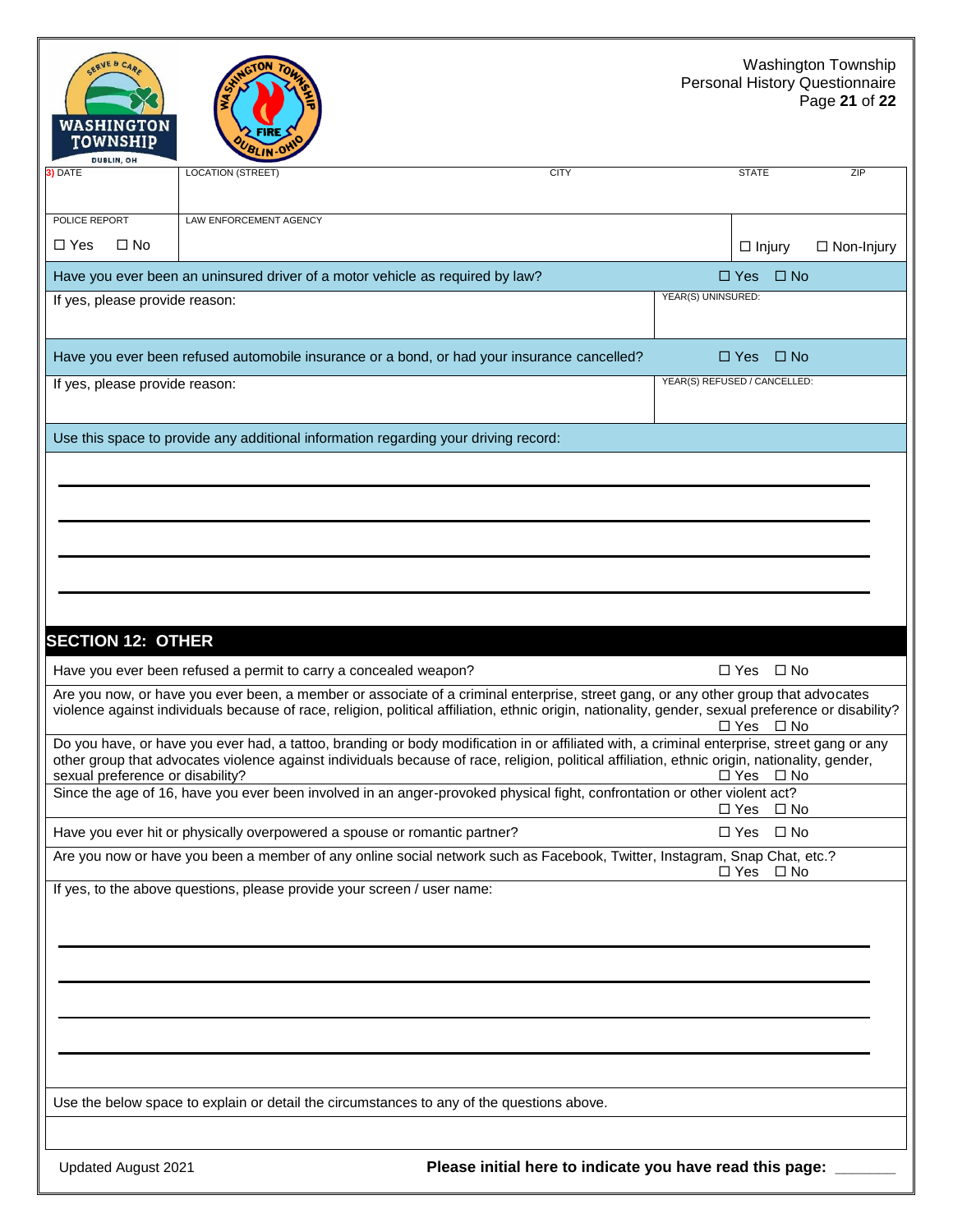#### Washington Township Personal History Questionnaire Page **21** of **22**

| <b>WASHINGTON</b><br>TOWNSHIP<br>DUBLIN, OH |                                                                                           |                                                                                                                                                                                                                                                                                              |                              |                   |
|---------------------------------------------|-------------------------------------------------------------------------------------------|----------------------------------------------------------------------------------------------------------------------------------------------------------------------------------------------------------------------------------------------------------------------------------------------|------------------------------|-------------------|
| 3) DATE                                     | <b>LOCATION (STREET)</b>                                                                  | <b>CITY</b>                                                                                                                                                                                                                                                                                  | <b>STATE</b>                 | ZIP               |
| POLICE REPORT                               | LAW ENFORCEMENT AGENCY                                                                    |                                                                                                                                                                                                                                                                                              |                              |                   |
| $\Box$ Yes<br>$\square$ No                  |                                                                                           |                                                                                                                                                                                                                                                                                              | $\Box$ Injury                | $\Box$ Non-Injury |
|                                             | Have you ever been an uninsured driver of a motor vehicle as required by law?             |                                                                                                                                                                                                                                                                                              | $\Box$ Yes                   | $\Box$ No         |
| If yes, please provide reason:              |                                                                                           |                                                                                                                                                                                                                                                                                              | YEAR(S) UNINSURED:           |                   |
|                                             |                                                                                           | Have you ever been refused automobile insurance or a bond, or had your insurance cancelled?                                                                                                                                                                                                  | $\Box$ Yes                   | $\Box$ No         |
| If yes, please provide reason:              |                                                                                           |                                                                                                                                                                                                                                                                                              | YEAR(S) REFUSED / CANCELLED: |                   |
|                                             | Use this space to provide any additional information regarding your driving record:       |                                                                                                                                                                                                                                                                                              |                              |                   |
|                                             |                                                                                           |                                                                                                                                                                                                                                                                                              |                              |                   |
| <b>SECTION 12: OTHER</b>                    |                                                                                           |                                                                                                                                                                                                                                                                                              |                              |                   |
|                                             | Have you ever been refused a permit to carry a concealed weapon?                          |                                                                                                                                                                                                                                                                                              | $\Box$ Yes                   | $\square$ No      |
|                                             |                                                                                           | Are you now, or have you ever been, a member or associate of a criminal enterprise, street gang, or any other group that advocates<br>violence against individuals because of race, religion, political affiliation, ethnic origin, nationality, gender, sexual preference or disability?    | $\Box$ Yes $\Box$ No         |                   |
| sexual preference or disability?            |                                                                                           | Do you have, or have you ever had, a tattoo, branding or body modification in or affiliated with, a criminal enterprise, street gang or any<br>other group that advocates violence against individuals because of race, religion, political affiliation, ethnic origin, nationality, gender, | $\Box$ Yes                   | $\Box$ No         |
|                                             |                                                                                           | Since the age of 16, have you ever been involved in an anger-provoked physical fight, confrontation or other violent act?                                                                                                                                                                    | □ Yes □ No                   |                   |
|                                             | Have you ever hit or physically overpowered a spouse or romantic partner?                 |                                                                                                                                                                                                                                                                                              | $\Box$ Yes $\Box$ No         |                   |
|                                             |                                                                                           | Are you now or have you been a member of any online social network such as Facebook, Twitter, Instagram, Snap Chat, etc.?                                                                                                                                                                    | $\Box$ Yes                   | $\Box$ No         |
|                                             | If yes, to the above questions, please provide your screen / user name:                   |                                                                                                                                                                                                                                                                                              |                              |                   |
|                                             |                                                                                           |                                                                                                                                                                                                                                                                                              |                              |                   |
|                                             | Use the below space to explain or detail the circumstances to any of the questions above. |                                                                                                                                                                                                                                                                                              |                              |                   |
|                                             |                                                                                           |                                                                                                                                                                                                                                                                                              |                              |                   |
| <b>LIndated August 2021</b>                 |                                                                                           | Please initial here to indicate you have read this nane:                                                                                                                                                                                                                                     |                              |                   |

SERVE & CAR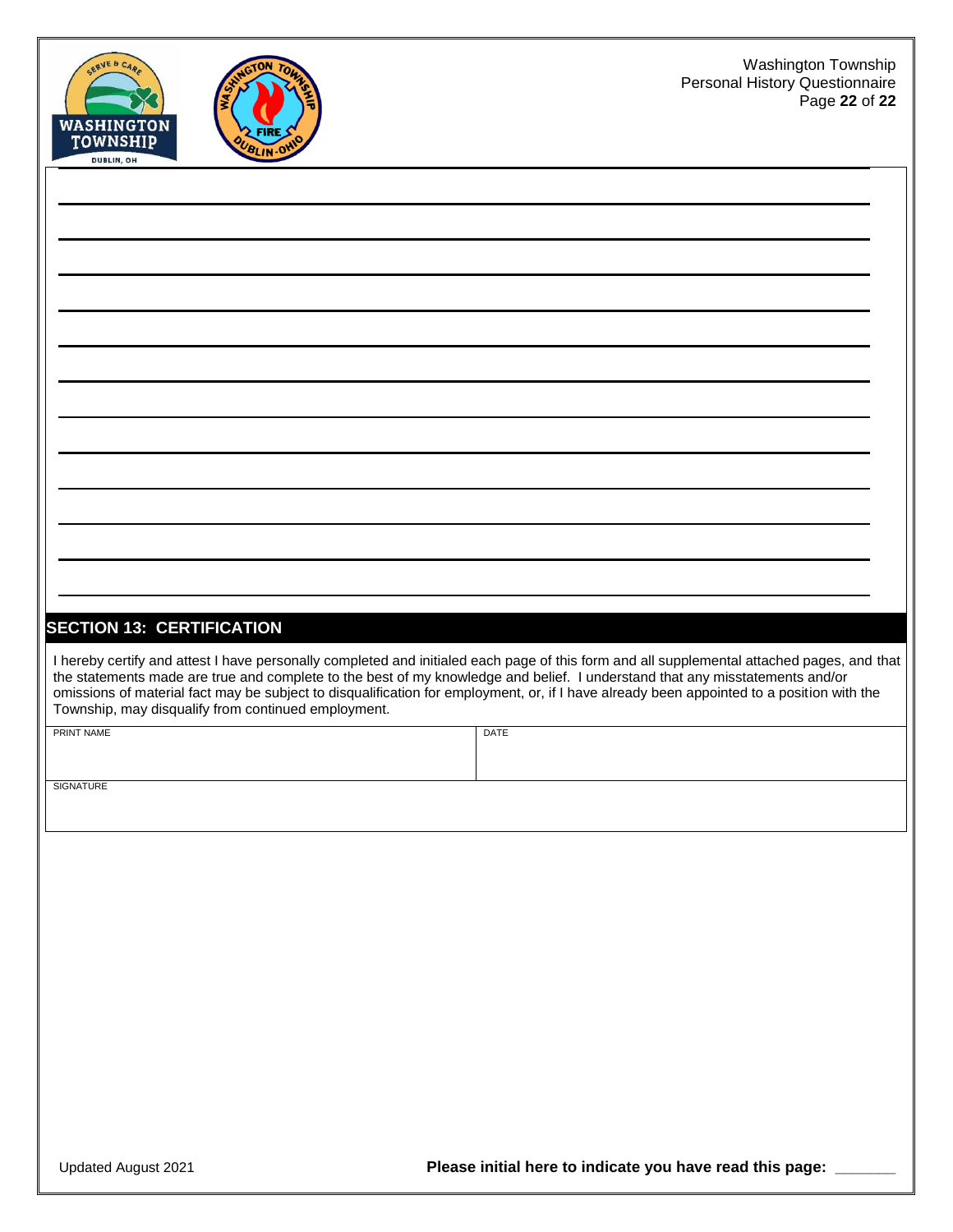



# **SECTION 13: CERTIFICATION** I hereby certify and attest I have personally completed and initialed each page of this form and all supplemental attached pages, and that the statements made are true and complete to the best of my knowledge and belief. I understand that any misstatements and/or omissions of material fact may be subject to disqualification for employment, or, if I have already been appointed to a position with the Township, may disqualify from continued employment. PRINT NAME DATE

**SIGNATURE**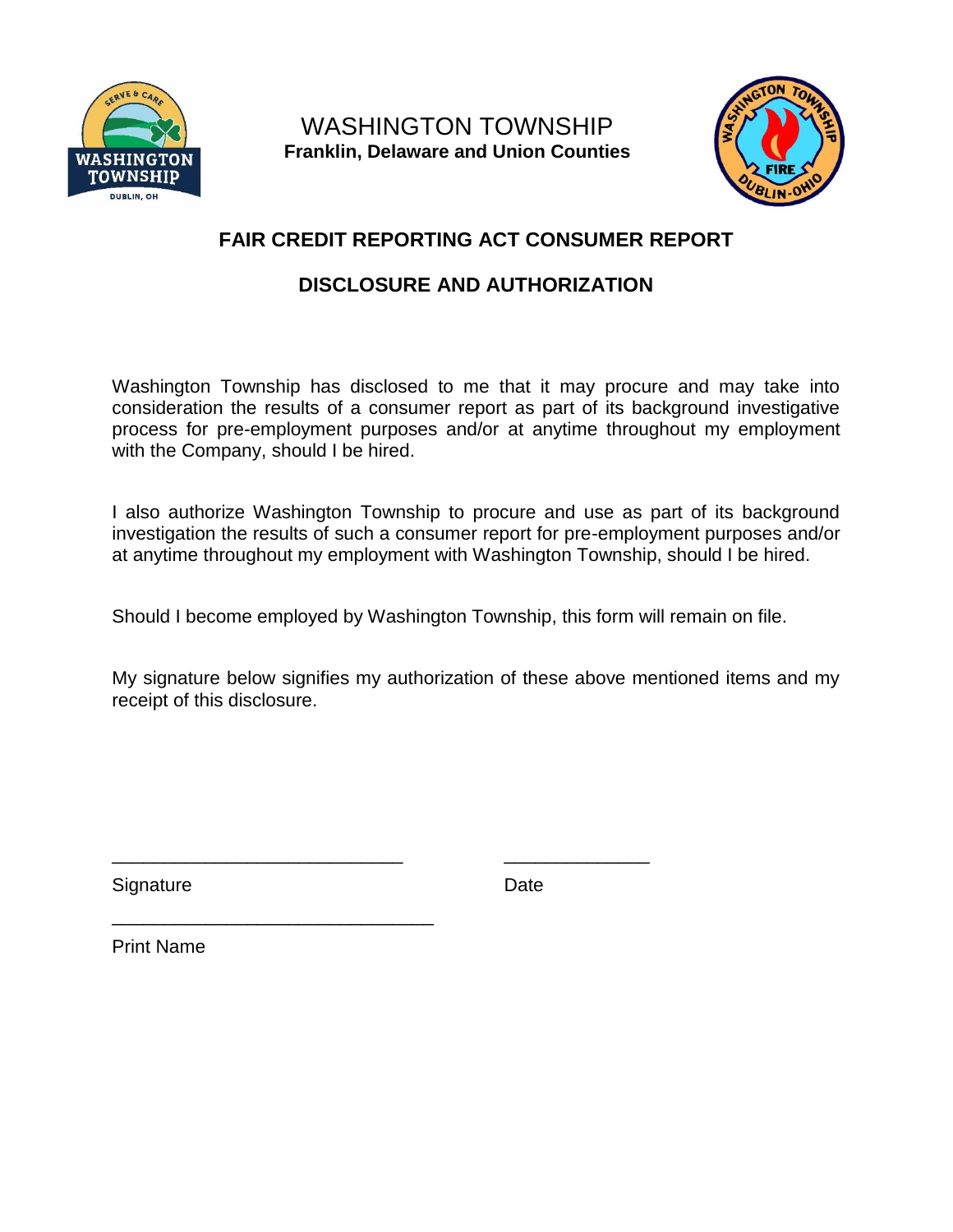

WASHINGTON TOWNSHIP **Franklin, Delaware and Union Counties**



## **FAIR CREDIT REPORTING ACT CONSUMER REPORT**

## **DISCLOSURE AND AUTHORIZATION**

Washington Township has disclosed to me that it may procure and may take into consideration the results of a consumer report as part of its background investigative process for pre-employment purposes and/or at anytime throughout my employment with the Company, should I be hired.

I also authorize Washington Township to procure and use as part of its background investigation the results of such a consumer report for pre-employment purposes and/or at anytime throughout my employment with Washington Township, should I be hired.

Should I become employed by Washington Township, this form will remain on file.

\_\_\_\_\_\_\_\_\_\_\_\_\_\_\_\_\_\_\_\_\_\_\_\_\_\_\_\_ \_\_\_\_\_\_\_\_\_\_\_\_\_\_

My signature below signifies my authorization of these above mentioned items and my receipt of this disclosure.

Signature Date

Print Name

\_\_\_\_\_\_\_\_\_\_\_\_\_\_\_\_\_\_\_\_\_\_\_\_\_\_\_\_\_\_\_